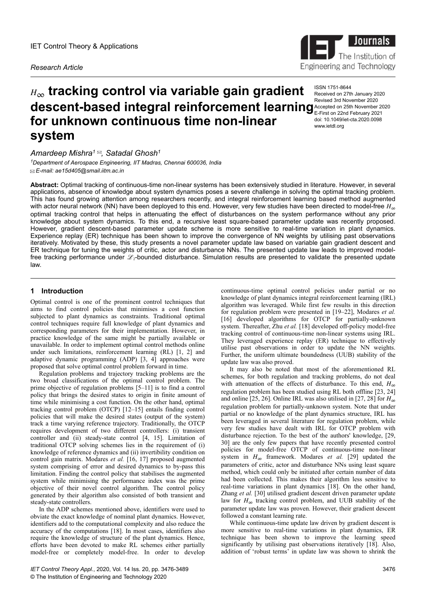*Research Article*

# *<sup>H</sup>*∞ **tracking control via variable gain gradient descent-based integral reinforcement learning** Accepted on 25th November 2020 **for unknown continuous time non-linear system**

*Amardeep Mishra<sup>1</sup> , Satadal Ghosh<sup>1</sup>*

*<sup>1</sup>Department of Aerospace Engineering, IIT Madras, Chennai 600036, India E-mail: ae15d405@smail.iitm.ac.in*

**Abstract:** Optimal tracking of continuous-time non-linear systems has been extensively studied in literature. However, in several applications, absence of knowledge about system dynamics poses a severe challenge in solving the optimal tracking problem. This has found growing attention among researchers recently, and integral reinforcement learning based method augmented with actor neural network (NN) have been deployed to this end. However, very few studies have been directed to model-free *H*<sup>∞</sup> optimal tracking control that helps in attenuating the effect of disturbances on the system performance without any prior knowledge about system dynamics. To this end, a recursive least square-based parameter update was recently proposed. However, gradient descent-based parameter update scheme is more sensitive to real-time variation in plant dynamics. Experience replay (ER) technique has been shown to improve the convergence of NN weights by utilising past observations iteratively. Motivated by these, this study presents a novel parameter update law based on variable gain gradient descent and ER technique for tuning the weights of critic, actor and disturbance NNs. The presented update law leads to improved modelfree tracking performance under  $\mathcal{L}_2$ -bounded disturbance. Simulation results are presented to validate the presented update law.

## **1** Introduction

Optimal control is one of the prominent control techniques that aims to find control policies that minimises a cost function subjected to plant dynamics as constraints. Traditional optimal control techniques require full knowledge of plant dynamics and corresponding parameters for their implementation. However, in practice knowledge of the same might be partially available or unavailable. In order to implement optimal control methods online under such limitations, reinforcement learning (RL) [1, 2] and adaptive dynamic programming (ADP) [3, 4] approaches were proposed that solve optimal control problem forward in time.

Regulation problems and trajectory tracking problems are the two broad classifications of the optimal control problem. The prime objective of regulation problems [5–11] is to find a control policy that brings the desired states to origin in finite amount of time while minimising a cost function. On the other hand, optimal tracking control problem (OTCP) [12–15] entails finding control policies that will make the desired states (output of the system) track a time varying reference trajectory. Traditionally, the OTCP requires development of two different controllers: (i) transient controller and (ii) steady-state control [4, 15]. Limitation of traditional OTCP solving schemes lies in the requirement of (i) knowledge of reference dynamics and (ii) invertibility condition on control gain matrix. Modares *et al.* [16, 17] proposed augmented system comprising of error and desired dynamics to by-pass this limitation. Finding the control policy that stabilises the augmented system while minimising the performance index was the prime objective of their novel control algorithm. The control policy generated by their algorithm also consisted of both transient and steady-state controllers.

In the ADP schemes mentioned above, identifiers were used to obviate the exact knowledge of nominal plant dynamics. However, identifiers add to the computational complexity and also reduce the accuracy of the computations [18]. In most cases, identifiers also require the knowledge of structure of the plant dynamics. Hence, efforts have been devoted to make RL schemes either partially model-free or completely model-free. In order to develop

continuous-time optimal control policies under partial or no knowledge of plant dynamics integral reinforcement learning (IRL) algorithm was leveraged. While first few results in this direction for regulation problem were presented in [19–22], Modares *et al.* [16] developed algorithms for OTCP for partially-unknown system. Thereafter, Zhu *et al.* [18] developed off-policy model-free tracking control of continuous-time non-linear systems using IRL. They leveraged experience replay (ER) technique to effectively utilise past observations in order to update the NN weights. Further, the uniform ultimate boundedness (UUB) stability of the update law was also proved.

It may also be noted that most of the aforementioned RL schemes, for both regulation and tracking problems, do not deal with attenuation of the effects of disturbance. To this end, *H*<sup>∞</sup> regulation problem has been studied using RL both offline [23, 24] and online [25, 26]. Online IRL was also utilised in [27, 28] for  $H_{\infty}$ regulation problem for partially-unknown system. Note that under partial or no knowledge of the plant dynamics structure, IRL has been leveraged in several literature for regulation problem, while very few studies have dealt with IRL for OTCP problem with disturbance rejection. To the best of the authors' knowledge, [29, 30] are the only few papers that have recently presented control policies for model-free OTCP of continuous-time non-linear system in  $H_{\infty}$  framework. Modares *et al.* [29] updated the parameters of critic, actor and disturbance NNs using least square method, which could only be initiated after certain number of data had been collected. This makes their algorithm less sensitive to real-time variations in plant dynamics [18]. On the other hand, Zhang *et al.* [30] utilised gradient descent driven parameter update law for  $H_{\infty}$  tracking control problem, and UUB stability of the parameter update law was proven. However, their gradient descent followed a constant learning rate.

While continuous-time update law driven by gradient descent is more sensitive to real-time variations in plant dynamics, ER technique has been shown to improve the learning speed significantly by utilising past observations iteratively [18]. Also, addition of 'robust terms' in update law was shown to shrink the



ISSN 1751-8644 Received on 27th January 2020 Accepted on 25th November 2020 E-First on 22nd February 2021 doi: 10.1049/iet-cta.2020.0098 www.ietdl.org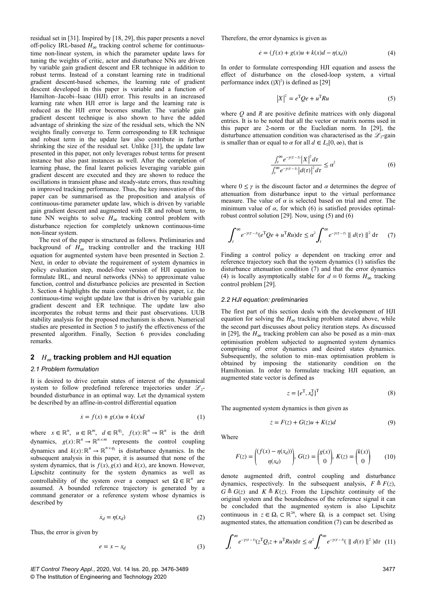residual set in [31]. Inspired by [18, 29], this paper presents a novel off-policy IRL-based *H*∞ tracking control scheme for continuoustime non-linear system, in which the parameter update laws for tuning the weights of critic, actor and disturbance NNs are driven by variable gain gradient descent and ER technique in addition to robust terms. Instead of a constant learning rate in traditional gradient descent-based schemes, the learning rate of gradient descent developed in this paper is variable and a function of Hamilton–Jacobi–Isaac (HJI) error. This results in an increased learning rate when HJI error is large and the learning rate is reduced as the HJI error becomes smaller. The variable gain gradient descent technique is also shown to have the added advantage of shrinking the size of the residual sets, which the NN weights finally converge to. Term corresponding to ER technique and robust term in the update law also contribute in further shrinking the size of the residual set. Unlike [31], the update law presented in this paper, not only leverages robust terms for present instance but also past instances as well. After the completion of learning phase, the final learnt policies leveraging variable gain gradient descent are executed and they are shown to reduce the oscillations in transient phase and steady-state errors, thus resulting in improved tracking performance. Thus, the key innovation of this paper can be summarised as the proposition and analysis of continuous-time parameter update law, which is driven by variable gain gradient descent and augmented with ER and robust term, to tune NN weights to solve  $H_{\infty}$  tracking control problem with disturbance rejection for completely unknown continuous-time non-linear system.

The rest of the paper is structured as follows. Preliminaries and background of  $H_{\infty}$  tracking controller and the tracking HJI equation for augmented system have been presented in Section 2. Next, in order to obviate the requirement of system dynamics in policy evaluation step, model-free version of HJI equation to formulate IRL, and neural networks (NNs) to approximate value function, control and disturbance policies are presented in Section 3. Section 4 highlights the main contribution of this paper, i.e. the continuous-time weight update law that is driven by variable gain gradient descent and ER technique. The update law also incorporates the robust terms and their past observations. UUB stability analysis for the proposed mechanism is shown. Numerical studies are presented in Section 5 to justify the effectiveness of the presented algorithm. Finally, Section 6 provides concluding remarks.

## **2***H*∞ **tracking problem and HJI equation**

#### *2.1 Problem formulation*

It is desired to drive certain states of interest of the dynamical system to follow predefined reference trajectories under  $\mathscr{L}_2$ bounded disturbance in an optimal way. Let the dynamical system be described by an affine-in-control differential equation

$$
\dot{x} = f(x) + g(x)u + k(x)d\tag{1}
$$

where  $x \in \mathbb{R}^n$ ,  $u \in \mathbb{R}^m$ ,  $d \in \mathbb{R}^{q_1}$ ,  $f(x): \mathbb{R}^n \to \mathbb{R}^n$  is the drift dynamics,  $g(x): \mathbb{R}^n \to \mathbb{R}^{n \times m}$  represents the control coupling dynamics and  $k(x): \mathbb{R}^n \to \mathbb{R}^{n \times q_1}$  is disturbance dynamics. In the subsequent analysis in this paper, it is assumed that none of the system dynamics, that is  $f(x)$ ,  $g(x)$  and  $k(x)$ , are known. However, Lipschitz continuity for the system dynamics as well as controllability of the system over a compact set  $\Omega \in \mathbb{R}^n$  are assumed. A bounded reference trajectory is generated by a command generator or a reference system whose dynamics is described by

$$
\dot{x}_d = \eta(x_d) \tag{2}
$$

Thus, the error is given by

$$
e = x - x_d \tag{3}
$$

Therefore, the error dynamics is given as

$$
\dot{e} = (f(x) + g(x)u + k(x)d - \eta(x_d))
$$
\n(4)

In order to formulate corresponding HJI equation and assess the effect of disturbance on the closed-loop system, a virtual performance index  $(|X|^2)$  is defined as [29]

$$
\left| X \right|^2 = e^{\mathrm{T}} Q e + u^{\mathrm{T}} R u \tag{5}
$$

where *Q* and *R* are positive definite matrices with only diagonal entries. It is to be noted that all the vector or matrix norms used in this paper are 2-norm or the Eucledian norm. In [29], the disturbance attenuation condition was characterised as the  $\mathscr{L}_2$ -gain is smaller than or equal to  $\alpha$  for all  $d \in L_2[0, \infty)$ , that is

$$
\frac{\int_{t}^{\infty} e^{-\gamma(\tau-t)} |X|^2 d\tau}{\int_{t}^{\infty} e^{-\gamma(\tau-t)} |d(\tau)|^2 d\tau} \le \alpha^2
$$
\n(6)

where  $0 \leq \gamma$  is the discount factor and  $\alpha$  determines the degree of attenuation from disturbance input to the virtual performance measure. The value of  $\alpha$  is selected based on trial and error. The minimum value of  $\alpha$ , for which (6) is satisfied provides optimalrobust control solution [29]. Now, using (5) and  $(\hat{6})$ 

$$
\int_{t}^{\infty} e^{-\gamma(\tau-t)} (e^{\mathrm{T}} Q e + u^{\mathrm{T}} R u) \mathrm{d}\tau \leq \alpha^2 \int_{t}^{\infty} e^{-\gamma(\tau-t)} \| d(\tau) \|^2 \, \mathrm{d}\tau \qquad (7)
$$

Finding a control policy *u* dependent on tracking error and reference trajectory such that the system dynamics (1) satisfies the disturbance attenuation condition (7) and that the error dynamics (4) is locally asymptotically stable for  $d = 0$  forms  $H_{\infty}$  tracking control problem [29].

#### *2.2 HJI equation: preliminaries*

The first part of this section deals with the development of HJI equation for solving the  $H_{\infty}$  tracking problem stated above, while the second part discusses about policy iteration steps. As discussed in [29], the  $H_{\infty}$  tracking problem can also be posed as a min–max optimisation problem subjected to augmented system dynamics comprising of error dynamics and desired states dynamics. Subsequently, the solution to min–max optimisation problem is obtained by imposing the stationarity condition on the Hamiltonian. In order to formulate tracking HJI equation, an augmented state vector is defined as

$$
z = [e^{\mathrm{T}}, x_d^{\mathrm{T}}]^{\mathrm{T}} \tag{8}
$$

The augmented system dynamics is then given as

$$
\dot{z} = F(z) + G(z)u + K(z)d\tag{9}
$$

Where

$$
F(z) = \begin{pmatrix} (f(x) - \eta(x_d)) \\ \eta(x_d) \end{pmatrix}, \ G(z) = \begin{pmatrix} g(x) \\ 0 \end{pmatrix}, \ K(z) = \begin{pmatrix} k(x) \\ 0 \end{pmatrix} \tag{10}
$$

denote augmented drift, control coupling and disturbance dynamics, respectively. In the subsequent analysis,  $F \triangleq F(z)$ ,  $G \triangleq G(z)$  and  $K \triangleq K(z)$ . From the Lipschitz continuity of the original system and the boundedness of the reference signal it can be concluded that the augmented system is also Lipschitz continuous in  $z \in \Omega_1 \subset \mathbb{R}^{2n}$ , where  $\Omega_1$  is a compact set. Using augmented states, the attenuation condition (7) can be described as

$$
\int_{t}^{\infty} e^{-\gamma(\tau-t)}(z^{\mathrm{T}}Q_1z + u^{\mathrm{T}}Ru) \mathrm{d}\tau \leq \alpha^2 \int_{t}^{\infty} e^{-\gamma(\tau-t)}(\parallel d(\tau) \parallel^2) \mathrm{d}\tau \quad (11)
$$

*IET Control Theory Appl.*, 2020, Vol. 14 Iss. 20, pp. 3476-3489 © The Institution of Engineering and Technology 2020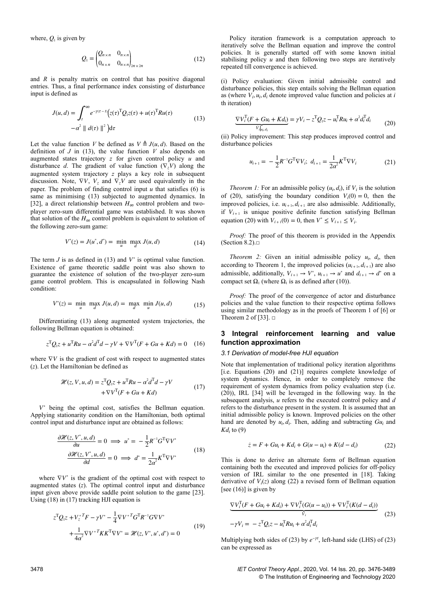where,  $Q_1$  is given by

$$
Q_1 = \begin{pmatrix} Q_{n \times n} & 0_{n \times n} \\ 0_{n \times n} & 0_{n \times n} \end{pmatrix}_{2n \times 2n} \tag{12}
$$

and *R* is penalty matrix on control that has positive diagonal entries. Thus, a final performance index consisting of disturbance input is defined as

$$
J(u,d) = \int_{t}^{\infty} e^{-\gamma(\tau - t)} (z(\tau)^{\mathrm{T}} Q_1 z(\tau) + u(\tau)^{\mathrm{T}} Ru(\tau))
$$
  
- $\alpha^2 || d(\tau) ||^2) d\tau$  (13)

Let the value function *V* be defined as  $V \triangleq J(u, d)$ . Based on the definition of  $J$  in (13), the value function  $V$  also depends on augmented states trajectory *z* for given control policy *u* and disturbance *d*. The gradient of value function  $(\nabla_z V)$  along the augmented system trajectory *z* plays a key role in subsequent discussion. Note,  $\nabla V$ ,  $V_z$  and  $\nabla_z V$  are used equivalently in the paper. The problem of finding control input *u* that satisfies (6) is same as minimising (13) subjected to augmented dynamics. In [32], a direct relationship between *H*∞ control problem and twoplayer zero-sum differential game was established. It was shown that solution of the  $H_{\infty}$  control problem is equivalent to solution of the following zero-sum game:

$$
V^*(z) = J(u^*, d^*) = \min_{u} \; \max_{d} J(u, d)
$$
 (14)

The term  $J$  is as defined in (13) and  $V^*$  is optimal value function. Existence of game theoretic saddle point was also shown to guarantee the existence of solution of the two-player zero-sum game control problem. This is encapsulated in following Nash condition:

$$
V^*(z) = \min_u \max_d J(u,d) = \max_d \min_u J(u,d) \tag{15}
$$

Differentiating (13) along augmented system trajectories, the following Bellman equation is obtained:

$$
z^{T}Q_{1}z + u^{T}Ru - \alpha^{2}d^{T}d - \gamma V + \nabla V^{T}(F + Gu + Kd) = 0 \quad (16)
$$

where  $∇V$  is the gradient of cost with respect to augmented states (*z*). Let the Hamiltonian be defined as

$$
\mathcal{H}(z, V, u, d) = z^{\mathrm{T}} Q_1 z + u^{\mathrm{T}} Ru - \alpha^2 d^{\mathrm{T}} d - \gamma V + \nabla V^{\mathrm{T}} (F + Gu + Kd)
$$
\n(17)

*V* ∗ being the optimal cost, satisfies the Bellman equation. Applying stationarity condition on the Hamiltonian, both optimal control input and disturbance input are obtained as follows:

$$
\frac{\partial \mathcal{H}(z, V^*, u, d)}{\partial u} = 0 \implies u^* = -\frac{1}{2} R^{-1} G^T \nabla V^* \n\frac{\partial \mathcal{H}(z, V^*, u, d)}{\partial d} = 0 \implies d^* = \frac{1}{2\alpha^2} K^T \nabla V^* \tag{18}
$$

where  $\nabla V^*$  is the gradient of the optimal cost with respect to augmented states (*z*). The optimal control input and disturbance input given above provide saddle point solution to the game [23]. Using (18) in (17) tracking HJI equation is

$$
z^{T}Q_{1}z + V_{z}^{*}{}^{T}F - \gamma V^{*} - \frac{1}{4}\nabla V^{*}{}^{T}G^{T}R^{-1}G\nabla V^{*} + \frac{1}{4\alpha^{2}}\nabla V^{*}{}^{T}KK^{T}\nabla V^{*} = \mathcal{H}(z, V^{*}, u^{*}, d^{*}) = 0
$$
\n(19)

Policy iteration framework is a computation approach to iteratively solve the Bellman equation and improve the control policies. It is generally started off with some known initial stabilising policy *u* and then following two steps are iteratively repeated till convergence is achieved.

(i) Policy evaluation: Given initial admissible control and disturbance policies, this step entails solving the Bellman equation as (where  $V_i$ ,  $u_i$ ,  $d_i$  denote improved value function and policies at *i* th iteration)

$$
\underbrace{\nabla V_i^{\mathrm{T}}(F + Gu_i + Kd_i)}_{V_i|_{u_i, d_i}} = \gamma V_i - z^{\mathrm{T}} Q_i z - u_i^{\mathrm{T}} Ru_i + \alpha^2 d_i^{\mathrm{T}} d_i \tag{20}
$$

(ii) Policy improvement: This step produces improved control and disturbance policies

$$
u_{i+1} = -\frac{1}{2}R^{-1}G^{T}\nabla V_{i}; \ d_{i+1} = \frac{1}{2\alpha^{2}}K^{T}\nabla V_{i}
$$
 (21)

*Theorem 1:* For an admissible policy  $(u_i, d_i)$ , if  $V_i$  is the solution of (20), satisfying the boundary condition  $V_i(0) = 0$ , then the improved policies, i.e.  $u_{i+1}$ ,  $d_{i+1}$  are also admissible. Additionally, if  $V_{i+1}$  is unique positive definite function satisfying Bellman equation (20) with  $V_{i+1}(0) = 0$ , then  $V^* \leq V_{i+1} \leq V_i$ .

*Proof:* The proof of this theorem is provided in the Appendix (Section 8.2). $\square$ 

*Theorem 2:* Given an initial admissible policy  $u_i$ ,  $d_i$ , then according to Theorem 1, the improved policies  $(u_{i+1}, d_{i+1})$  are also admissible, additionally,  $V_{i+1} \rightarrow V^*$ ,  $u_{i+1} \rightarrow u^*$  and  $d_{i+1} \rightarrow d^*$  on a compact set  $\Omega_1$  (where  $\Omega_1$  is as defined after (10)).

*Proof:* The proof of the convergence of actor and disturbance policies and the value function to their respective optima follows using similar methodology as in the proofs of Theorem 1 of [6] or Theorem 2 of [33].  $\Box$ 

## **3Integral reinforcement learning and value function approximation**

#### *3.1 Derivation of model-free HJI equation*

Note that implementation of traditional policy iteration algorithms [i.e. Equations (20) and (21)] requires complete knowledge of system dynamics. Hence, in order to completely remove the requirement of system dynamics from policy evaluation step (i.e. (20)), IRL [34] will be leveraged in the following way. In the subsequent analysis, *u* refers to the executed control policy and *d* refers to the disturbance present in the system. It is assumed that an initial admissible policy is known. Improved policies on the other hand are denoted by  $u_i, d_i$ . Then, adding and subtracting  $Gu_i$  and  $Kd_i$  to  $(9)$ 

$$
\dot{z} = F + Gu_i + Kd_i + G(u - u_i) + K(d - d_i)
$$
 (22)

This is done to derive an alternate form of Bellman equation containing both the executed and improved policies for off-policy version of IRL similar to the one presented in [18]. Taking derivative of  $V_i(z)$  along (22) a revised form of Bellman equation [see  $(16)$ ] is given by

$$
\frac{\nabla V_i^{\text{T}}(F + Gu_i + Kd_i) + \nabla V_i^{\text{T}}(G(u - u_i)) + \nabla V_i^{\text{T}}(K(d - d_i))}{\dot{V}_i}
$$
  
- $\gamma V_i = -z^{\text{T}} Q_i z - u_i^{\text{T}} R u_i + \alpha^2 d_i^{\text{T}} d_i$  (23)

Multiplying both sides of (23) by  $e^{-\gamma t}$ , left-hand side (LHS) of (23) can be expressed as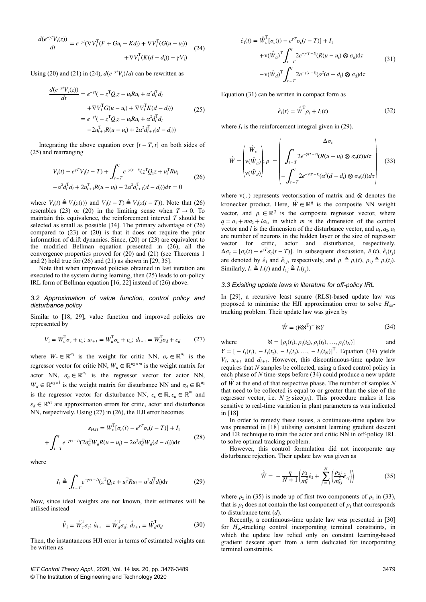$$
\frac{d(e^{-\gamma t}V_i(z))}{dt} = e^{-\gamma t}(\nabla V_i^{\mathrm{T}}(F + Gu_i + Kd_i) + \nabla V_i^{\mathrm{T}}(G(u - u_i))
$$
  
+ 
$$
\nabla V_i^{\mathrm{T}}(K(d - d_i)) - \gamma V_i)
$$
 (24)

Using (20) and (21) in (24),  $d(e^{-\gamma t}V_i)/dt$  can be rewritten as

$$
\frac{d(e^{-\gamma t}V_i(z))}{dt} = e^{-\gamma t}(-z^{\mathrm{T}}Q_1z - u_iRu_i + \alpha^2 d_i^{\mathrm{T}}d_i \n+ \nabla V_i^{\mathrm{T}}G(u - u_i) + \nabla V_i^{\mathrm{T}}K(d - d_i)) \n= e^{-\gamma t}(-z^{\mathrm{T}}Q_1z - u_iRu_i + \alpha^2 d_i^{\mathrm{T}}d_i \n-2u_{i+1}^{\mathrm{T}}R(u - u_i) + 2\alpha^2 d_{i+1}^{\mathrm{T}}(d - d_i))
$$
\n(25)

Integrating the above equation over  $[t - T, t]$  on both sides of (25) and rearranging

$$
V_i(t) - e^{\gamma T} V_i(t - T) + \int_{t - T}^{t} e^{-\gamma(\tau - t)} (z^{\mathrm{T}} Q_i z + u_i^{\mathrm{T}} R u_i
$$
  

$$
- \alpha^2 d_i^{\mathrm{T}} d_i + 2u_{i+1}^{\mathrm{T}} R (u - u_i) - 2\alpha^2 d_{i+1}^{\mathrm{T}} (d - d_i)) d\tau = 0
$$
 (26)

where  $V_i(t) \triangleq V_i(z(t))$  and  $V_i(t-T) \triangleq V_i(z(t-T))$ . Note that (26) resembles (23) or (20) in the limiting sense when  $T \rightarrow 0$ . To maintain this equivalence, the reinforcement interval *T* should be selected as small as possible [34]. The primary advantage of (26) compared to (23) or (20) is that it does not require the prior information of drift dynamics. Since, (20) or (23) are equivalent to the modified Bellman equation presented in (26), all the convergence properties proved for (20) and (21) (see Theorems 1 and 2) hold true for  $(26)$  and  $(21)$  as shown in [29, 35].

Note that when improved policies obtained in last iteration are executed to the system during learning, then (25) leads to on-policy IRL form of Bellman equation [16, 22] instead of (26) above.

#### *3.2 Approximation of value function, control policy and disturbance policy*

Similar to [18, 29], value function and improved policies are represented by

$$
V_i = W_c^{\mathrm{T}} \sigma_c + \varepsilon_c; \ u_{i+1} = W_a^{\mathrm{T}} \sigma_a + \varepsilon_a; \ d_{i+1} = W_d^{\mathrm{T}} \sigma_d + \varepsilon_d \tag{27}
$$

where  $W_c \in \mathbb{R}^{a_1}$  is the weight for critic NN,  $\sigma_c \in \mathbb{R}^{a_1}$  is the regressor vector for critic NN,  $W_a \in \mathbb{R}^{a_2 \times m}$  is the weight matrix for actor NN,  $\sigma_a \in \mathbb{R}^{a_2}$  is the regressor vector for actor NN,  $W_d \in \mathbb{R}^{a_3 \times l}$  is the weight matrix for disturbance NN and  $\sigma_d \in \mathbb{R}^{a_3}$ is the regressor vector for disturbance NN,  $\varepsilon_c \in \mathbb{R}, \varepsilon_a \in \mathbb{R}^m$  and  $\varepsilon_d \in \mathbb{R}^{q_1}$  are approximation errors for critic, actor and disturbance NN, respectively. Using (27) in (26), the HJI error becomes

$$
\varepsilon_{HJI} = W_c^{\rm T}[\sigma_c(t) - e^{\gamma T} \sigma_c(t - T)] + I_1
$$
  
+ 
$$
\int_{t-T}^{t} e^{-\gamma(\tau-t)} (2\sigma_a^{\rm T} W_a R(u - u_i) - 2\alpha^2 \sigma_d^{\rm T} W_d(d - d_i)) d\tau
$$
(28)

where

$$
I_1 \triangleq \int_{t-T}^t e^{-\gamma(\tau-t)} (z^{\mathrm{T}} Q_1 z + u_i^{\mathrm{T}} R u_i - \alpha^2 d_i^{\mathrm{T}} d_i) d\tau
$$
 (29)

Now, since ideal weights are not known, their estimates will be utilised instead

$$
\hat{V}_i = \hat{W}_c^{\text{T}} \sigma_c; \ \hat{u}_{i+1} = \hat{W}_a^{\text{T}} \sigma_a; \ \hat{d}_{i+1} = \hat{W}_d^{\text{T}} \sigma_d \tag{30}
$$

Then, the instantaneous HJI error in terms of estimated weights can be written as

*IET Control Theory Appl.*, 2020, Vol. 14 Iss. 20, pp. 3476-3489 © The Institution of Engineering and Technology 2020

$$
\hat{e}_1(t) = \hat{W}_c^{\mathrm{T}}[\sigma_c(t) - e^{\gamma T}\sigma_c(t - T)] + I_1
$$
  
+ 
$$
\mathbf{v}(\hat{W}_a)^{\mathrm{T}} \int_{t - T}^{t} 2e^{-\gamma(\tau - t)} (R(u - u_i) \otimes \sigma_a) d\tau
$$
  
- 
$$
\mathbf{v}(\hat{W}_a)^{\mathrm{T}} \int_{t - T}^{t} 2e^{-\gamma(\tau - t)} (\alpha^2(d - d_i) \otimes \sigma_d) d\tau
$$
\n(31)

Equation (31) can be written in compact form as

$$
\hat{e}_1(t) = \hat{W}^T \rho_1 + I_1(t) \tag{32}
$$

where  $I_1$  is the reinforcement integral given in (29).

$$
\hat{W} = \begin{pmatrix} \hat{W}_c \\ v(\hat{W}_a) \\ v(\hat{W}_d) \end{pmatrix}; \rho_1 = \begin{pmatrix} \Delta \sigma_c \\ \int_{t-T}^t 2e^{-\gamma(\tau-t)} (R(u-u_i) \otimes \sigma_a(t)) d\tau \\ -\int_{t-T}^t 2e^{-\gamma(\tau-t)} (\alpha^2(d-d_i) \otimes \sigma_d(t)) d\tau \end{pmatrix}
$$
(33)

where  $v(.)$  represents vectorisation of matrix and  $\otimes$  denotes the kronecker product. Here,  $\hat{W} \in \mathbb{R}^q$  is the composite NN weight vector, and  $\rho_1 \in \mathbb{R}^q$  is the composite regressor vector, where  $q = a_1 + ma_2 + la_3$ , in which *m* is the dimension of the control vector and *l* is the dimension of the disturbance vector, and  $a_1, a_2, a_3$ are number of neurons in the hidden layer or the size of regressor vector for critic, actor and disturbance, respectively.  $\Delta \sigma_c = [\sigma_c(t) - e^{\gamma T} \sigma_c(t - T)].$  In subsequent discussion,  $\hat{e}_1(t)$ ,  $\hat{e}_1(t_j)$ are denoted by  $\hat{e}_1$  and  $\hat{e}_{1j}$ , respectively, and  $\rho_1 \triangleq \rho_1(t)$ ,  $\rho_{1j} \triangleq \rho_1(t_j)$ . Similarly,  $I_1 \triangleq I_1(t)$  and  $I_{1j} \triangleq I_1(t_j)$ .

## *3.3 Exisiting update laws in literature for off-policy IRL*

In [29], a recursive least square (RLS)-based update law was proposed to minimise the HJI approximation error to solve  $H_{\infty}$ tracking problem. Their update law was given by

$$
\hat{W} = (\mathbf{N}\mathbf{N}^{\mathrm{T}})^{-1}\mathbf{N}Y
$$
 (34)

where  $\aleph = [\rho_1(t_1), \rho_1(t_2), \rho_1(t_3), ..., \rho_1(t_N)]$  and

*Y* = [ − *I*<sub>1</sub>(*t*<sub>1</sub>), − *I*<sub>1</sub>(*t*<sub>2</sub>), − *I*<sub>1</sub>(*t*<sub>3</sub>), …, − *I*<sub>1</sub>(*t<sub>N</sub>*)]<sup>T</sup>. Equation (34) yields  $V_i$ ,  $u_{i+1}$  and  $d_{i+1}$ . However, this discontinuous-time update law requires that *N* samples be collected, using a fixed control policy in each phase of *N* time-steps before (34) could produce a new update of  $\hat{W}$  at the end of that respective phase. The number of samples *N* that need to be collected is equal to or greater than the size of the regressor vector, i.e.  $N \geq size(\rho_1)$ . This procedure makes it less sensitive to real-time variation in plant parameters as was indicated in [18]

In order to remedy these issues, a continuous-time update law was presented in [18] utilising constant learning gradient descent and ER technique to train the actor and critic NN in off-policy IRL to solve optimal tracking problem.

However, this control formulation did not incorporate any disturbance rejection. Their update law was given as

$$
\hat{W} = -\frac{\eta}{N+1} \left( \frac{\rho_2}{m_s^2} \hat{e}_2 + \sum_{j=1}^N \left( \frac{\rho_{2j}}{m_{sj}^2} \hat{e}_{2j} \right) \right)
$$
(35)

where  $\rho_2$  in (35) is made up of first two components of  $\rho_1$  in (33), that is  $\rho_2$  does not contain the last component of  $\rho_1$  that corresponds to disturbance term (*d*).

Recently, a continuous-time update law was presented in [30] for *H*∞-tracking control incorporating terminal constraints, in which the update law relied only on constant learning-based gradient descent apart from a term dedicated for incorporating terminal constraints.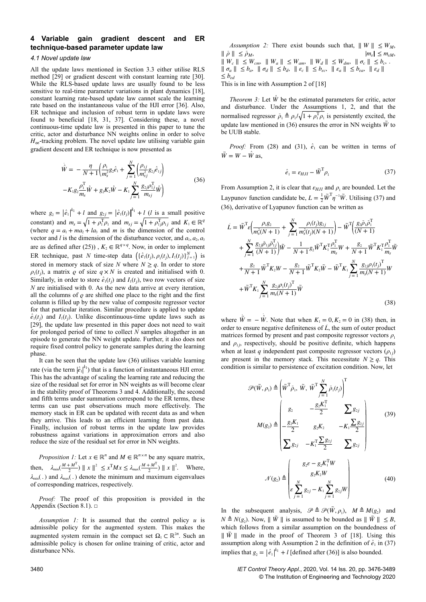## **4Variable gain gradient descent and ER technique-based parameter update law**

## *4.1 Novel update law*

All the update laws mentioned in Section 3.3 either utilise RLS method [29] or gradient descent with constant learning rate [30]. While the RLS-based update laws are usually found to be less sensitive to real-time parameter variations in plant dynamics [18], constant learning rate-based update law cannot scale the learning rate based on the instantaneous value of the HJI error [36]. Also, ER technique and inclusion of robust term in update laws were found to beneficial [18, 31, 37]. Considering these, a novel continuous-time update law is presented in this paper to tune the critic, actor and disturbance NN weights online in order to solve  $H_{\infty}$ -tracking problem. The novel update law utilising variable gain gradient descent and ER technique is now presented as

$$
\dot{\hat{W}} = -\frac{\eta}{N+1} \Big( \frac{\rho_1}{m_s^2} g_2 \hat{e}_1 + \sum_{j=1}^N \Big( \frac{\rho_{1j}}{m_{sj}^2} g_{2j} \hat{e}_{1j} \Big) -K_1 g_2 \frac{\rho_1^{\mathrm{T}}}{m_s} \hat{W} + g_2 K_2 \hat{W} - K_1 \sum_{j=1}^N \frac{g_{2j} \rho_{1j}^{\mathrm{T}}}{m_{sj}} \hat{W} \Big)
$$
(36)

where  $g_2 = \left| \hat{e}_1 \right|^{k_1} + l$  and  $g_{2j} = \left| \hat{e}_1(t_j) \right|^{k_1} + l$  (*l* is a small positive constant) and  $m_s = \sqrt{1 + \rho_1^T \rho_1}$  and  $m_{sj} = \sqrt{1 + \rho_1^T \rho_1}$  and  $K_1 \in \mathbb{R}^q$ (where  $q = a_1 + ma_2 + la_3$  and *m* is the dimension of the control vector and *l* is the dimension of the disturbance vector, and  $a_1, a_2, a_3$ are as defined after (25)),  $K_2 \in \mathbb{R}^{q \times q}$ . Now, in order to implement ER technique, past *N* time-step data  $\left\{ {\hat{e}_1(t_j), \rho_1(t_j), I_1(t_j)} \right\}_{j=1}^N$  is stored in memory stack of size *N* where  $N \ge q$ . In order to store  $\rho_1(t_j)$ , a matrix  $\rho$  of size  $q \times N$  is created and initialised with 0. Similarly, in order to store  $\hat{e}_1(t_j)$  and  $I_1(t_j)$ , two row vectors of size *N* are initialised with 0. As the new data arrive at every iteration, all the columns of  $\rho$  are shifted one place to the right and the first column is filled up by the new value of composite regressor vector for that particular iteration. Similar procedure is applied to update  $\hat{e}_1(t_j)$  and *I*<sub>1</sub>(*t<sub>j</sub>*). Unlike discontinuous-time update laws such as [29], the update law presented in this paper does not need to wait for prolonged period of time to collect *N* samples altogether in an episode to generate the NN weight update. Further, it also does not require fixed control policy to generate samples during the learning phase.

It can be seen that the update law (36) utilises variable learning rate (via the term  $\left| \hat{e}_1 \right|^{k_1}$ ) that is a function of instantaneous HJI error. This has the advantage of scaling the learning rate and reducing the size of the residual set for error in NN weights as will become clear in the stability proof of Theorems 3 and 4. Additionally, the second and fifth terms under summation correspond to the ER terms, these terms can use past observations much more effectively. The memory stack in ER can be updated with recent data as and when they arrive. This leads to an efficient learning from past data. Finally, inclusion of robust terms in the update law provides robustness against variations in approximation errors and also reduce the size of the residual set for error in NN weights.

*Proposition 1:* Let  $x \in \mathbb{R}^n$  and  $M \in \mathbb{R}^{n \times n}$  be any square matrix, then,  $\lambda_{\min}(\frac{M+M^{\mathrm{T}}}{2})$  $\left|\frac{M^{T}}{2}\right| \parallel x \parallel^{2} \leq x^{T} M x \leq \lambda_{\max} \left(\frac{M+M^{T}}{2}\right)$  $\frac{+M^2}{2}$ ) || *x* ||<sup>2</sup>. Where, *λ*min( . ) and *λ*max( . ) denote the minimum and maximum eigenvalues of corresponding matrices, respectively.

*Proof:* The proof of this proposition is provided in the Appendix (Section 8.1).  $\square$ 

*Assumption 1:* It is assumed that the control policy *u* is admissible policy for the augmented system. This makes the augmented system remain in the compact set  $\Omega_1 \subset \mathbb{R}^{2n}$ . Such an admissible policy is chosen for online training of critic, actor and disturbance NNs.

*Assumption 2:* There exist bounds such that,  $||W|| \leq W_M$ ,  $\|\bar{\rho}\| \leq \bar{\rho}_M$ ,  $|m_s| \leq m_{sM}$ ,  $\|W_c\|$  ≤ *W*<sub>cm</sub>,  $\|W_a\|$  ≤ *W*<sub>am</sub>,  $\|W_d\|$  ≤ *W*<sub>dm</sub>,  $\| \sigma_c \|$  ≤ *b<sub>c</sub>*,  $\|\sigma_a\| \leq b_a$ ,  $\|\sigma_d\| \leq b_d$ ,  $\|\varepsilon_c\| \leq b_{\varepsilon c}$ ,  $\|\varepsilon_a\| \leq b_{\varepsilon a}$ ,  $\|\varepsilon_d\|$ ≤ *bεd* .

This is in line with Assumption 2 of [18]

*Theorem 3:* Let  $\hat{W}$  be the estimated parameters for critic, actor and disturbance. Under the Assumptions 1, 2, and that the normalised regressor  $\bar{\rho}_1 \triangleq \rho_1 / \sqrt{1 + \rho_1^T \rho_1}$  is persistently excited, the update law mentioned in (36) ensures the error in NN weights  $\tilde{W}$  to be UUB stable.

*Proof:* From (28) and (31),  $\hat{e}_1$  can be written in terms of  $\tilde{W} = W - \hat{W}$  as,

$$
\hat{e}_1 = \varepsilon_{HJI} - \tilde{W}^T \rho_1 \tag{37}
$$

From Assumption 2, it is clear that  $\varepsilon_{HJI}$  and  $\rho_1$  are bounded. Let the Laypunov function candidate be,  $L = \frac{1}{2} \tilde{W}^T \eta^{-1} \tilde{W}$ . Utilising (37) and (36), derivative of Lyapunov function can be written as

$$
\dot{L} = \tilde{W}^{\mathrm{T}} \varepsilon \Big( \frac{\rho_1 g_2}{m_s^2 (N+1)} + \sum_{j=1}^{N} \frac{\rho_1(t_j) g_{2j}}{m_s^2(t_j) (N+1)} \Big) - \tilde{W}^{\mathrm{T}} \Big( \frac{g_2 \bar{\rho}_1 \bar{\rho}_1^{\mathrm{T}}}{(N+1)} + \sum_{j=1}^{N} \frac{g_{2j} \bar{\rho}_{1j} \bar{\rho}_{1j}^{\mathrm{T}}}{(N+1)} \Big) \tilde{W} - \frac{1}{N+1} g_2 \tilde{W}^{\mathrm{T}} K_1^{\mathrm{T}} \frac{\rho_1^{\mathrm{T}}}{m_s} W + \frac{g_2}{N+1} \tilde{W}^{\mathrm{T}} K_1^{\mathrm{T}} \frac{\rho_1^{\mathrm{T}}}{m_s} \tilde{W} + \frac{g_2}{N+1} \tilde{W}^{\mathrm{T}} K_2 W - \frac{g_2}{N+1} \tilde{W}^{\mathrm{T}} K_2 \tilde{W} - \tilde{W}^{\mathrm{T}} K_1 \sum_{j=1}^{N} \frac{g_{2j} \rho_1(t_j)^{\mathrm{T}}}{m_s (N+1)} W + \tilde{W}^{\mathrm{T}} K_1 \sum_{j=1}^{N} \frac{g_{2j} \rho_1(t_j)^{\mathrm{T}}}{m_s (N+1)} \tilde{W} \tag{38}
$$

where  $\hat{W} = -\hat{W}$ . Note that when  $K_1 = 0, K_2 = 0$  in (38) then, in order to ensure negative definiteness of  $\vec{L}$ , the sum of outer product matrices formed by present and past composite regressor vectors  $\rho_1$ and  $\rho_{1j}$ , respectively, should be positive definite, which happens when at least *q* independent past composite regressor vectors  $(\rho_{1j})$ are present in the memory stack. This necessitate  $N \geq q$ . This condition is similar to persistence of excitation condition. Now, let

$$
\mathcal{P}(\tilde{W}, \rho_{1}) \triangleq \left(\tilde{W}^{T} \bar{\rho}_{1}, \tilde{W}, \tilde{W}^{T} \sum_{j=1}^{N} \bar{\rho}_{1}(t_{j})\right)^{T}
$$
\n
$$
M(g_{2}) \triangleq \begin{vmatrix} g_{2} & -\frac{g_{2}K_{1}^{T}}{2} & \sum g_{2j} \\ -\frac{g_{2}K_{1}}{2} & g_{2}K_{2} & -K_{1} \frac{\sum g_{2j}}{2} \\ \sum g_{2j} & -K_{1}^{T} \frac{\sum g_{2j}}{2} & \sum g_{2j} \end{vmatrix}
$$
\n
$$
\mathcal{N}(g_{2}) \triangleq \begin{pmatrix} g_{2}\varepsilon - g_{2}K_{1}^{T}W \\ g_{2}K_{2}W \\ \varepsilon \sum_{j=1}^{N} g_{2j} - K_{1} \sum_{j=1}^{N} g_{2j}W \end{pmatrix}
$$
\n
$$
(40)
$$

In the subsequent analysis,  $\mathscr{P} \triangleq \mathscr{P}(\tilde{W}, \rho_1)$ ,  $M \triangleq M(g_2)$  and *N*  $\triangleq$  *N*(*g*<sub>2</sub>). Now,  $\parallel \tilde{W} \parallel$  is assumed to be bounded as  $\parallel \tilde{W} \parallel$  ≤ *B*, which follows from a similar assumption on the boundedness of  $\|\tilde{W}\|$  made in the proof of Theorem 3 of [18]. Using this assumption along with Assumption 2 in the definition of  $\hat{e}_1$  in (37) implies that  $g_2 = \left| \hat{e}_1 \right|^{\frac{k_1}{2}} + l$  [defined after (36)] is also bounded.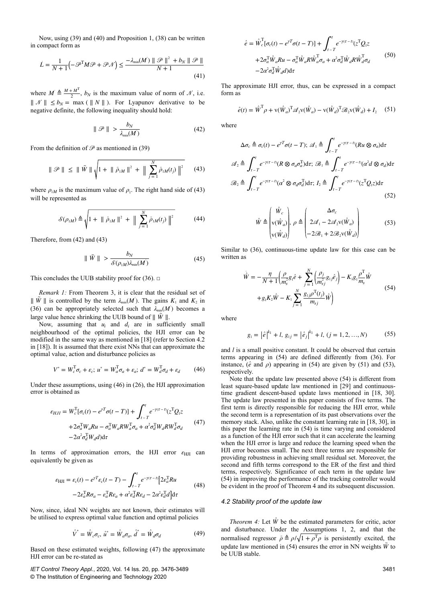Now, using (39) and (40) and Proposition 1, (38) can be written in compact form as

$$
\dot{L} = \frac{1}{N+1} \left( -\mathcal{P}^{\mathrm{T}} M \mathcal{P} + \mathcal{P} \mathcal{N} \right) \le \frac{-\lambda_{\min}(M') \parallel \mathcal{P} \parallel^2 + b_N \parallel \mathcal{P} \parallel}{N+1}
$$
\n(41)

where  $M \triangleq \frac{M + M^{T}}{2}$  $\frac{m}{2}$ ,  $b_N$  is the maximum value of norm of  $\mathcal{N}$ , i.e.  $|| \mathcal{N} || \le b_N = \max (|| N ||)$ . For Lyapunov derivative to be negative definite, the following inequality should hold:

$$
\|\mathcal{P}\| > \frac{b_N}{\lambda_{\min}(M)}\tag{42}
$$

From the definition of  $\mathcal P$  as mentioned in (39)

$$
\|\mathcal{P}\| \leq \|\tilde{W}\| \sqrt{1 + \|\bar{\rho}_{1M}\|^2 + \|\sum_{j=1}^{N} \bar{\rho}_{1M}(t_j)\|^2}
$$
 (43)

where  $\rho_{1M}$  is the maximum value of  $\rho_1$ . The right hand side of (43) will be represented as

$$
S(\rho_{1M}) \triangleq \sqrt{1 + ||\bar{\rho}_{1M}||^2 + ||\sum_{j=1}^{N} \bar{\rho}_{1M}(t_j)||^2}
$$
 (44)

Therefore, from (42) and (43)

$$
\|\tilde{W}\| > \frac{b_N}{\mathcal{S}(\rho_{1M})\lambda_{\min}(M)}\tag{45}
$$

This concludes the UUB stability proof for (36).  $\Box$ 

*Remark 1:* From Theorem 3, it is clear that the residual set of  $\|\tilde{W}\|$  is controlled by the term  $\lambda_{\min}(M')$ . The gains  $K_1$  and  $K_2$  in (36) can be appropriately selected such that  $\lambda_{\min}(M')$  becomes a large value hence shrinking the UUB bound of  $\|\tilde{W}\|$ .

Now, assuming that  $u_i$  and  $d_i$  are in sufficiently small neighbourhood of the optimal policies, the HJI error can be modified in the same way as mentioned in [18] (refer to Section 4.2 in [18]). It is assumed that there exist NNs that can approximate the optimal value, action and disturbance policies as

$$
V^* = W_c^{\mathrm{T}} \sigma_c + \varepsilon_c; \ u^* = W_a^{\mathrm{T}} \sigma_a + \varepsilon_a; \ d^* = W_d^{\mathrm{T}} \sigma_d + \varepsilon_d \tag{46}
$$

Under these assumptions, using (46) in (26), the HJI approximation error is obtained as

$$
\varepsilon_{HJI} = W_c^{\mathrm{T}}[\sigma_c(t) - e^{\gamma T}\sigma(t - T)] + \int_{t - T}^t e^{-\gamma(\tau - t)} (z^{\mathrm{T}}Q_1 z + 2\sigma_a^{\mathrm{T}}W_aRu - \sigma_a^{\mathrm{T}}W_aRW_a^{\mathrm{T}}\sigma_a + \alpha^2 \sigma_d^{\mathrm{T}}W_dRW_a^{\mathrm{T}}\sigma_d
$$
(47)  
-2\alpha^2 \sigma\_d^{\mathrm{T}}W\_d d) d\tau

In terms of approximation errors, the HJI error *ε*<sub>HII</sub> can equivalently be given as

$$
\varepsilon_{\text{HJI}} = \varepsilon_c(t) - e^{\gamma T} \varepsilon_c(t - T) - \int_{t - T}^t e^{-\gamma(\tau - t)} \left[ 2\varepsilon_a^{\text{T}} R u - 2\varepsilon_a^{\text{T}} R \sigma_a - \varepsilon_a^{\text{T}} R \varepsilon_a + \alpha^2 \varepsilon_a^{\text{T}} R \varepsilon_d - 2\alpha^2 \varepsilon_a^{\text{T}} d \right] d\tau \tag{48}
$$

Now, since, ideal NN weights are not known, their estimates will be utilised to express optimal value function and optimal policies

$$
\hat{V}^* = \hat{W}_c \sigma_c, \ \hat{u}^* = \hat{W}_a \sigma_a, \ \hat{d}^* = \hat{W}_d \sigma_d \tag{49}
$$

Based on these estimated weights, following (47) the approximate HJI error can be re-stated as

*IET Control Theory Appl.*, 2020, Vol. 14 Iss. 20, pp. 3476-3489 © The Institution of Engineering and Technology 2020

$$
\hat{e} = \hat{W}_c^{\mathrm{T}}[\sigma_c(t) - e^{\gamma T}\sigma(t - T)] + \int_{t - T}^{t} e^{-\gamma(\tau - t)} (z^{\mathrm{T}}Q_i z \n+ 2\sigma_d^{\mathrm{T}} \hat{W}_a R u - \sigma_d^{\mathrm{T}} \hat{W}_a R \hat{W}_a^{\mathrm{T}} \sigma_a + \alpha^2 \sigma_d^{\mathrm{T}} \hat{W}_d R \hat{W}_d^{\mathrm{T}} \sigma_d \n- 2\alpha^2 \sigma_d^{\mathrm{T}} \hat{W}_d d) d\tau
$$
\n(50)

The approximate HJI error, thus, can be expressed in a compact form as

$$
\hat{e}(t) = \hat{W}^{\mathrm{T}} \rho + \mathbf{v}(\hat{W}_a)^{\mathrm{T}} \mathcal{A}_2 \mathbf{v}(\hat{W}_a) - \mathbf{v}(\hat{W}_a)^{\mathrm{T}} \mathcal{B}_2 \mathbf{v}(\hat{W}_a) + I_2 \quad (51)
$$

where

$$
\Delta \sigma_c \triangleq \sigma_c(t) - e^{\gamma T} \sigma(t - T); \ \mathscr{A}_1 \triangleq \int_{t - T}^t e^{-\gamma(\tau - t)} (Ru \otimes \sigma_a) d\tau
$$

$$
\mathscr{A}_2 \triangleq \int_{t - T}^t e^{-\gamma(\tau - t)} (R \otimes \sigma_a \sigma_a^T) d\tau; \ \mathscr{B}_1 \triangleq \int_{t - T}^t e^{-\gamma(\tau - t)} (\alpha^2 d \otimes \sigma_d) d\tau
$$

$$
\mathscr{B}_2 \triangleq \int_{t - T}^t e^{-\gamma(\tau - t)} (\alpha^2 \otimes \sigma_d \sigma_d^T) d\tau; \ I_2 \triangleq \int_{t - T}^t e^{-\gamma(\tau - t)} (z^T Q_i z) d\tau
$$
(52)

$$
\hat{W} \triangleq \begin{pmatrix} \hat{W}_c \\ v(\hat{W}_a) \\ v(\hat{W}_d) \end{pmatrix}, \ \rho \triangleq \begin{pmatrix} \Delta \sigma_c \\ 2\mathcal{A}_1 - 2\mathcal{A}_2 v(\hat{W}_a) \\ -2\mathcal{B}_1 + 2\mathcal{B}_2 v(\hat{W}_d) \end{pmatrix}
$$
(53)

Similar to (36), continuous-time update law for this case can be written as

$$
\hat{W} = -\frac{\eta}{N+1} \Big( \frac{\rho}{m_s^2} g_1 \hat{e} + \sum_{j=1}^N \Big( \frac{\rho_j}{m_{sj}^2} g_{1j} \hat{e}_j \Big) - K_1 g_1 \frac{\rho^T}{m_s} \hat{W} \n+ g_1 K_2 \hat{W} - K_1 \sum_{j=1}^N \frac{g_{1j} \rho^T(t_j)}{m_{sj}} \hat{W} \Big)
$$
\n(54)

where

$$
g_1 = |\hat{e}|^{k_1} + l, g_{1j} = |\hat{e}_j|^{k_1} + l, (j = 1, 2, ..., N)
$$
 (55)

and *l* is a small positive constant. It could be observed that certain terms appearing in (54) are defined differently from (36). For instance,  $(\hat{e}$  and  $\rho)$  appearing in (54) are given by (51) and (53), respectively.

Note that the update law presented above (54) is different from least square-based update law mentioned in [29] and continuoustime gradient descent-based update laws mentioned in [18, 30]. The update law presented in this paper consists of five terms. The first term is directly responsible for reducing the HJI error, while the second term is a representation of its past observations over the memory stack. Also, unlike the constant learning rate in [18, 30], in this paper the learning rate in (54) is time varying and considered as a function of the HJI error such that it can accelerate the learning when the HJI error is large and reduce the learning speed when the HJI error becomes small. The next three terms are responsible for providing robustness in achieving small residual set. Moreover, the second and fifth terms correspond to the ER of the first and third terms, respectively. Significance of each term in the update law (54) in improving the performance of the tracking controller would be evident in the proof of Theorem 4 and its subsequent discussion.

#### *4.2 Stability proof of the update law*

*Theorem 4:* Let  $\hat{W}$  be the estimated parameters for critic, actor and disturbance. Under the Assumptions 1, 2, and that the normalised regressor  $\bar{\rho} \triangleq \rho / \sqrt{1 + \rho^T \rho}$  is persistently excited, the update law mentioned in (54) ensures the error in NN weights  $\tilde{W}$  to be UUB stable.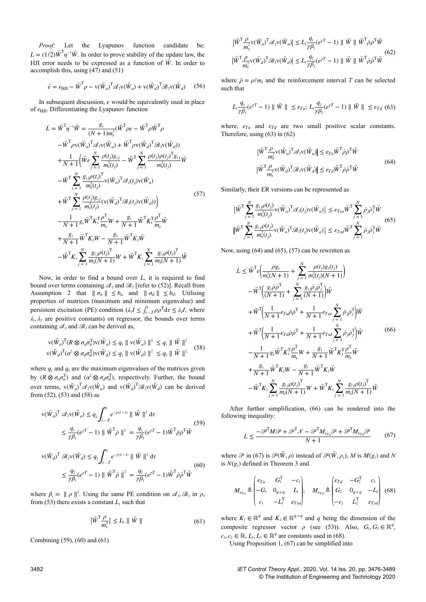*Proof:* Let the Lyapunov function candidate be:  $L = (1/2)\tilde{W}^T \eta^{-1} \tilde{W}$ . In order to prove stability of the update law, the HJI error needs to be expressed as a function of  $\vec{W}$ . In order to accomplish this, using  $(47)$  and  $(51)$ 

$$
\hat{e} = \varepsilon_{\rm HII} - \tilde{W}^{\rm T} \rho - \mathbf{v}(\tilde{W}_a)^{\rm T} \mathcal{A}_2 \mathbf{v}(\tilde{W}_a) + \mathbf{v}(\tilde{W}_a)^{\rm T} \mathcal{B}_2 \mathbf{v}(\tilde{W}_a) \tag{56}
$$

In subsequent discussion,  $\varepsilon$  would be equivalently used in place of *ε*HJI. Differentiating the Lyapunov function

$$
\dot{L} = \tilde{W}^{\mathrm{T}} \eta^{-1} \dot{\tilde{W}} = \frac{g_1}{(N+1)m_s^2} (\tilde{W}^{\mathrm{T}} \rho \varepsilon - \tilde{W}^{\mathrm{T}} \rho \tilde{W}^{\mathrm{T}} \rho \n- \tilde{W}^{\mathrm{T}} \rho \mathbf{v} (\tilde{W}_a)^{\mathrm{T}} \mathcal{A}_2 \mathbf{v} (\tilde{W}_a) + \tilde{W}^{\mathrm{T}} \rho \mathbf{v} (\tilde{W}_a)^{\mathrm{T}} \mathcal{B}_2 \mathbf{v} (\tilde{W}_a)) \n+ \frac{1}{N+1} (\tilde{W} \varepsilon \sum_{j=1}^{N} \frac{\rho(t_j) g_{1j}}{m_s^2(t_j)} - \tilde{W}^{\mathrm{T}} \sum_{j=1}^{N} \frac{\rho(t_j) \rho(t_j)^{\mathrm{T}} g_{1j}}{m_s^2(t_j)} \tilde{W} \n- \tilde{W}^{\mathrm{T}} \sum_{j=1}^{N} \frac{g_{1j} \rho(t_j)^{\mathrm{T}}}{m_s^2(t_j)} \mathbf{v} (\tilde{W}_a)^{\mathrm{T}} \mathcal{A}_2(t_j) \mathbf{v} (\tilde{W}_a) \n+ \tilde{W}^{\mathrm{T}} \sum_{j=1}^{N} \frac{\rho(t_j) g_{1j}}{m_s^2(t_j)} (\mathbf{v} (\tilde{W}_a)^{\mathrm{T}} \mathcal{B}_2(t_j) \mathbf{v} (\tilde{W}_a)) \Big) \n- \frac{1}{N+1} g_1 \tilde{W}^{\mathrm{T}} K_1^{\mathrm{T}} \frac{\rho^{\mathrm{T}}}{m_s} W + \frac{g_1}{N+1} \tilde{W}^{\mathrm{T}} K_1^{\mathrm{T}} \frac{\rho^{\mathrm{T}}}{m_s} \tilde{W} \n+ \frac{g_1}{N+1} \tilde{W}^{\mathrm{T}} K_2 W - \frac{g_1}{N+1} \tilde{W}^{\mathrm{T}} K_2 \tilde{W} \n- \tilde{W}^{\mathrm{T}} K_1 \sum_{j=1}^{N} \frac{g_{1j} \rho(t_j)^{\mathrm{T}}}{m_s(N+1)} W + \tilde{W}^{\mathrm{T}} K_1 \sum_{j=1}^{N} \frac{g_{1j} \rho(t_j)^{\mathrm{T}}}{m_s(N+
$$

Now, in order to find a bound over L, it is required to find bound over terms containing  $\mathcal{A}_2$  and  $\mathcal{B}_2$  [refer to (52)]. Recall from Assumption 2 that  $|| \sigma_a || \leq b_a$  and  $|| \sigma_d || \leq b_d$ . Utilising properties of matrices (maximum and minimum eigenvalue) and persistent excitation (PE) condition  $(\lambda_1 I \leq \int_{t-T}^{t} \rho \rho^{\mathrm{T}} d\tau \leq \lambda_2 I$ , where  $\lambda_1, \lambda_2$  are positive constants) on regressor, the bounds over terms containing  $\mathcal{A}_2$  and  $\mathcal{B}_2$  can be derived as,

$$
\mathbf{v}(\tilde{W}_a)^{\mathrm{T}}(R \otimes \sigma_a \sigma_a^{\mathrm{T}}) \mathbf{v}(\tilde{W}_a) \le q_1 \parallel \mathbf{v}(\tilde{W}_a) \parallel^2 \le q_1 \parallel \tilde{W} \parallel^2
$$
  

$$
\mathbf{v}(\tilde{W}_a)^{\mathrm{T}}(\sigma^2 \otimes \sigma_a \sigma_a^{\mathrm{T}}) \mathbf{v}(\tilde{W}_a) \le q_2 \parallel \mathbf{v}(\tilde{W}_a) \parallel^2 \le q_2 \parallel \tilde{W} \parallel^2
$$
 (58)

where  $q_1$  and  $q_2$  are the maximum eigenvalues of the matrices given by  $(R \otimes \sigma_a \sigma_a^T)$  and  $(\alpha^2 \otimes \sigma_a \sigma_a^T)$ , respectively. Further, the bound over terms,  $v(\tilde{W}_a)^T \mathscr{A}_2 v(\tilde{W}_a)$  and  $v(\tilde{W}_a)^T \mathscr{B}_2 v(\tilde{W}_a)$  can be derived from (52), (53) and (58) as

$$
v(\tilde{W}_a)^T \mathscr{A}_2 v(\tilde{W}_a) \le q_1 \int_{t-T}^t e^{-\gamma(\tau-t)} ||\tilde{W}||^2 d\tau
$$
  

$$
\le \frac{q_1}{\gamma \beta_1} (e^{\gamma T} - 1) ||\tilde{W}^T \bar{\rho}||^2 = \frac{q_1}{\gamma \beta_1} (e^{\gamma T} - 1) \tilde{W}^T \bar{\rho} \bar{\rho}^T \tilde{W}
$$
  

$$
\le \frac{1}{\gamma \beta_1} (e^{\gamma T} - 1) ||\tilde{W}^T \bar{\rho}||^2 = \frac{1}{\gamma \beta_1} (e^{\gamma T} - 1) \tilde{W}^T \bar{\rho} \bar{\rho}^T \tilde{W}
$$

$$
v(\tilde{W}_d)^T \mathcal{B}_2 v(\tilde{W}_d) \le q_2 \int_{t-T}^t e^{-\gamma(\tau-t)} ||\tilde{W}||^2 d\tau
$$
  

$$
\le \frac{q_2}{\gamma \beta_1} (e^{\gamma T} - 1) ||\tilde{W}^T \bar{\rho}||^2 = \frac{q_2}{\gamma \beta_1} (e^{\gamma T} - 1) \tilde{W}^T \bar{\rho} \bar{\rho}^T \tilde{W}
$$
(60)

where  $\beta_1 = ||\rho||^2$ . Using the same PE condition on  $\mathcal{A}_2, \mathcal{B}_2$  in  $\rho$ , from (53) there exists a constant  $L_1$  such that

$$
\left|\tilde{W}^{\mathrm{T}}\frac{\rho}{m_s^2}\right| \le L_1 \parallel \tilde{W} \parallel \tag{61}
$$

Combining (59), (60) and (61)

$$
\begin{aligned} & |\tilde{W}^{\mathrm{T}} \frac{\rho}{m_s^2} \mathbf{v}(\tilde{W}_a)^{\mathrm{T}} \mathcal{A}_2 \mathbf{v}(\tilde{W}_a) \le L_1 \frac{q_1}{\gamma \beta_1} (e^{\gamma T} - 1) \parallel \tilde{W} \parallel \tilde{W}^{\mathrm{T}} \bar{\rho} \bar{\rho}^{\mathrm{T}} \tilde{W} \\ & \tilde{W}^{\mathrm{T}} \frac{\rho}{m_s^2} \mathbf{v}(\tilde{W}_d)^{\mathrm{T}} \mathcal{B}_2 \mathbf{v}(\tilde{W}_d) \parallel \le L_1 \frac{q_2}{\gamma \beta_1} (e^{\gamma T} - 1) \parallel \tilde{W} \parallel \tilde{W}^{\mathrm{T}} \bar{\rho} \bar{\rho}^{\mathrm{T}} \tilde{W} \end{aligned} \tag{62}
$$

where  $\bar{\rho} = \rho/m_s$  and the reinforcement interval *T* can be selected such that

$$
L_1 \frac{q_1}{\gamma \beta_1} (e^{\gamma T} - 1) \parallel \tilde{W} \parallel \leq \varepsilon_{Ta}; L_1 \frac{q_2}{\gamma \beta_2} (e^{\gamma T} - 1) \parallel \tilde{W} \parallel \leq \varepsilon_{Td} \tag{63}
$$

where,  $\varepsilon_{Ta}$  and  $\varepsilon_{Td}$  are two small positive scalar constants. Therefore, using (63) in (62)

$$
\left| \tilde{W}^{\mathrm{T}} \frac{\rho}{m_s^2} \mathbf{v}(\tilde{W}_a)^{\mathrm{T}} \mathcal{A}_2 \mathbf{v}(\tilde{W}_a) \right| \leq \varepsilon_{Ta} \tilde{W}^{\mathrm{T}} \bar{\rho} \bar{\rho}^{\mathrm{T}} \tilde{W}
$$
\n
$$
\left| \tilde{W}^{\mathrm{T}} \frac{\rho}{m_s^2} \mathbf{v}(\tilde{W}_d)^{\mathrm{T}} \mathcal{B}_2 \mathbf{v}(\tilde{W}_d) \right| \leq \varepsilon_{Td} \tilde{W}^{\mathrm{T}} \bar{\rho} \bar{\rho}^{\mathrm{T}} \tilde{W}
$$
\n(64)

Similarly, their ER versions can be represented as

$$
\left| \tilde{W}^{\mathsf{T}} \sum_{j=1}^{N} \frac{g_{ij}\rho(t_j)}{m_s^2(t_j)} \mathbf{v}(\tilde{W}_a)^{\mathsf{T}} \mathcal{A}_2(t_j) \mathbf{v}(\tilde{W}_a) \right| \leq \varepsilon_{Tsa} \tilde{W}^{\mathsf{T}} \sum_{j=1}^{N} \bar{\rho}_j \bar{\rho}_j^{\mathsf{T}} \tilde{W}
$$
\n
$$
\left| \tilde{W}^{\mathsf{T}} \sum_{j=1}^{N} \frac{g_{ij}\rho(t_j)}{m_s^2(t_j)} \mathbf{v}(\tilde{W}_a)^{\mathsf{T}} \mathcal{B}_2(t_j) \mathbf{v}(\tilde{W}_a) \right| \leq \varepsilon_{Tsa} \tilde{W}^{\mathsf{T}} \sum_{j=1}^{N} \bar{\rho}_j \bar{\rho}_j^{\mathsf{T}} \tilde{W}
$$
\n(65)

Now, using  $(64)$  and  $(65)$ ,  $(57)$  can be rewritten as

$$
\dot{L} \leq \tilde{W}^{T} \varepsilon \Big( \frac{\rho g_{1}}{m_{s}^{2}(N+1)} + \sum_{j=1}^{N} \frac{\rho(t_{j})g_{1}(t_{j})}{m_{s}^{2}(t_{j})(N+1)} \Big) \n- \tilde{W}^{T} \Big( \frac{g_{1}\bar{\rho}\bar{\rho}^{T}}{(N+1)} + \sum_{j=1}^{N} \frac{g_{1j}\bar{\rho}_{j}\bar{\rho}_{j}^{T}}{(N+1)} \Big) \tilde{W} \n+ \tilde{W}^{T} \Big( \frac{1}{N+1} \varepsilon_{Ta}\bar{\rho}\bar{\rho}^{T} + \frac{1}{N+1} \varepsilon_{Tsa} \sum_{j=1}^{N} \bar{\rho}_{j}\bar{\rho}_{j}^{T} \Big) \tilde{W} \n+ \tilde{W}^{T} \Big( \frac{1}{N+1} \varepsilon_{Td}\bar{\rho}\bar{\rho}^{T} + \frac{1}{N+1} \varepsilon_{Tsa} \sum_{j=1}^{N} \bar{\rho}_{j}\bar{\rho}_{j}^{T} \Big) \tilde{W} \n- \frac{1}{N+1} g_{1} \tilde{W}^{T} K_{1}^{T} \frac{\rho^{T}}{m_{s}} W + \frac{g_{1}}{N+1} \tilde{W}^{T} K_{1}^{T} \frac{\rho^{T}}{m_{s}} \tilde{W} \n+ \frac{g_{1}}{N+1} \tilde{W}^{T} K_{2} W - \frac{g_{1}}{N+1} \tilde{W}^{T} K_{2} \tilde{W} \n- \tilde{W}^{T} K_{1} \sum_{j=1}^{N} \frac{g_{1j}\rho(t_{j})^{T}}{m_{s}(N+1)} W + \tilde{W}^{T} K_{1} \sum_{j=1}^{N} \frac{g_{1j}\rho(t_{j})^{T}}{m_{s}(N+1)} \tilde{W}
$$

After further simplification, (66) can be rendered into the following inequality:

$$
\dot{L} \le \frac{-\mathcal{P}^{\mathrm{T}}M\mathcal{P} + \mathcal{P}^{\mathrm{T}}\mathcal{N} - \mathcal{P}^{\mathrm{T}}M_{\varepsilon_{Ta}}\mathcal{P} + \mathcal{P}^{\mathrm{T}}M_{\varepsilon_{Td}}\mathcal{P}}{N+1} \tag{67}
$$

where  $\mathscr P$  in (67) is  $\mathscr P(\tilde W,\rho)$  instead of  $\mathscr P(\tilde W,\rho_1)$ , *M* is  $M(g_1)$  and *N* is  $N(g_1)$  defined in Theorem 3 and

$$
M_{\epsilon_{Ta}} \triangleq \begin{pmatrix} \epsilon_{Ta} & G_1^{\mathrm{T}} & -c_1 \\ -G_1 & 0_{q \times q} & L_1 \\ c_1 & -L_1^{\mathrm{T}} & \epsilon_{Ts} \end{pmatrix}; \quad M_{\epsilon_{Td}} \triangleq \begin{pmatrix} \epsilon_{Td} & -G_2^{\mathrm{T}} & c_2 \\ G_2 & 0_{q \times q} & -L_2 \\ -c_2 & L_2^{\mathrm{T}} & \epsilon_{Ts} \end{pmatrix}
$$
(68)

where  $K_1 \in \mathbb{R}^q$  and  $K_2 \in \mathbb{R}^{q \times q}$  and *q* being the dimension of the composite regressor vector  $\rho$  (see (53)). Also,  $G_1, G_2 \in \mathbb{R}^q$ ,  $c_1, c_2 \in \mathbb{R}, L_1, L_2 \in \mathbb{R}^q$  are constants used in (68).

Using Proposition 1, (67) can be simplified into

3482 *IET Control Theory Appl.*, 2020, Vol. 14 Iss. 20, pp. 3476-3489 © The Institution of Engineering and Technology 2020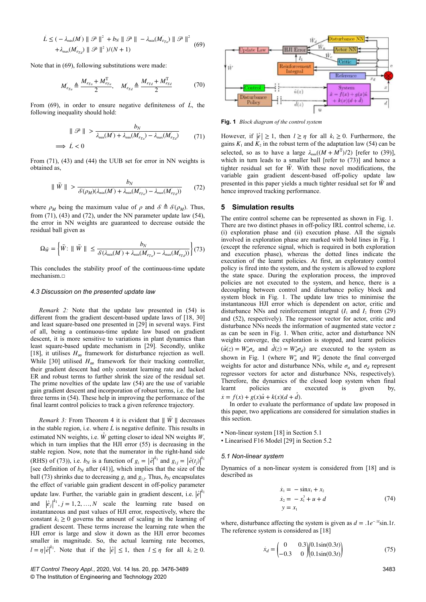$$
\begin{aligned} \n\dot{L} &\leq (-\lambda_{\min}(M') \parallel \mathcal{P} \parallel^2 + b_N \parallel \mathcal{P} \parallel -\lambda_{\min}(M_{\epsilon_{Ta}}) \parallel \mathcal{P} \parallel^2 \\ \n&+ \lambda_{\max}(M_{\epsilon_{Ta}}) \parallel \mathcal{P} \parallel^2 \, \mathcal{V}(N+1) \n\end{aligned} \tag{69}
$$

Note that in (69), following substitutions were made:

$$
M_{\epsilon_{Ta}} \triangleq \frac{M_{\epsilon_{Ta}} + M_{\epsilon_{Ta}}^{\mathrm{T}}}{2}, \quad M_{\epsilon_{Td}}' \triangleq \frac{M_{\epsilon_{Td}} + M_{\epsilon_{Td}}^{\mathrm{T}}}{2} \tag{70}
$$

From  $(69)$ , in order to ensure negative definiteness of  $\dot{L}$ , the following inequality should hold:

$$
\|\mathcal{P}\| > \frac{b_N}{\lambda_{\min}(M) + \lambda_{\min}(M_{\epsilon_{Td}}) - \lambda_{\max}(M_{\epsilon_{Td}})}
$$
(71)

From  $(71)$ ,  $(43)$  and  $(44)$  the UUB set for error in NN weights is obtained as,

$$
\|\tilde{W}\| > \frac{b_N}{\mathcal{S}(\rho_M)(\lambda_{\min}(M') + \lambda_{\min}(M'_{\epsilon_{T_a}}) - \lambda_{\max}(M'_{\epsilon_{T_d}}))}
$$
(72)

where  $\rho_M$  being the maximum value of  $\rho$  and  $S \triangleq \mathcal{S}(\rho_M)$ . Thus, from (71), (43) and (72), under the NN parameter update law (54), the error in NN weights are guaranteed to decrease outside the residual ball given as

$$
\Omega_{\tilde{W}} = \left\{ \tilde{W} : \parallel \tilde{W} \parallel \le \frac{b_N}{\mathcal{S}(\lambda_{\min}(M) + \lambda_{\min}(M_{\epsilon_{Ta}}') - \lambda_{\max}(M_{\epsilon_{Td}}'))} \right\} (73)
$$

This concludes the stability proof of the continuous-time update mechanism.□

#### *4.3 Discussion on the presented update law*

*Remark 2:* Note that the update law presented in (54) is different from the gradient descent-based update laws of [18, 30] and least square-based one presented in [29] in several ways. First of all, being a continuous-time update law based on gradient descent, it is more sensitive to variations in plant dynamics than least square-based update mechanism in [29]. Secondly, unlike [18], it utilises  $H_{\infty}$  framework for disturbance rejection as well. While [30] utilised  $H_{\infty}$  framework for their tracking controller, their gradient descent had only constant learning rate and lacked ER and robust terms to further shrink the size of the residual set. The prime novelties of the update law (54) are the use of variable gain gradient descent and incorporation of robust terms, i.e. the last three terms in (54). These help in improving the performance of the final learnt control policies to track a given reference trajectory.

*Remark 3:* From Theorem 4 it is evident that  $\|\tilde{W}\|$  decreases in the stable region, i.e. where  $\vec{L}$  is negative definite. This results in estimated NN weights, i.e.  $\hat{W}$  getting closer to ideal NN weights *W*, which in turn implies that the HJI error (55) is decreasing in the stable region. Now, note that the numerator in the right-hand side (RHS) of (73)), i.e.  $b_N$  is a function of  $g_1 = |\hat{e}|^{k_1}$  and  $g_{1j} = |\hat{e}(t_j)|^{k_1}$ [see definition of  $b_N$  after (41)], which implies that the size of the ball (73) shrinks due to decreasing  $g_1$  and  $g_{1j}$ . Thus,  $b_N$  encapsulates the effect of variable gain gradient descent in off-policy parameter update law. Further, the variable gain in gradient descent, i.e.  $|\hat{e}|^{k_1}$ and  $\left| \hat{e}_j \right|^{k_1}$ ,  $j = 1, 2, ..., N$  scale the learning rate based on instantaneous and past values of HJI error, respectively, where the constant  $k_1 \geq 0$  governs the amount of scaling in the learning of gradient descent. These terms increase the learning rate when the HJI error is large and slow it down as the HJI error becomes smaller in magnitude. So, the actual learning rate becomes,  $l = \eta |\hat{e}|^{k_1}$ . Note that if the  $|\hat{e}| \leq 1$ , then  $l \leq \eta$  for all  $k_1 \geq 0$ .



However, if  $|\hat{e}| \geq 1$ , then  $l \geq \eta$  for all  $k_1 \geq 0$ . Furthermore, the gains  $K_1$  and  $K_2$  in the robust term of the adaptation law (54) can be selected, so as to have a large  $\lambda_{\min}((M + M^{T})/2)$  [refer to (39)], which in turn leads to a smaller ball [refer to (73)] and hence a tighter residual set for  $\tilde{W}$ . With these novel modifications, the variable gain gradient descent-based off-policy update law presented in this paper yields a much tighter residual set for  $\tilde{W}$  and hence improved tracking performance.

#### **5Simulation results**

The entire control scheme can be represented as shown in Fig. 1. There are two distinct phases in off-policy IRL control scheme, i.e. (i) exploration phase and (ii) execution phase. All the signals involved in exploration phase are marked with bold lines in Fig. 1 (except the reference signal, which is required in both exploration and execution phase), whereas the dotted lines indicate the execution of the learnt policies. At first, an exploratory control policy is fired into the system, and the system is allowed to explore the state space. During the exploration process, the improved policies are not executed to the system, and hence, there is a decoupling between control and disturbance policy block and system block in Fig. 1. The update law tries to minimise the instantaneous HJI error which is dependent on actor, critic and disturbance NNs and reinforcement integral  $(I_1$  and  $I_2$  from (29) and (52), respectively). The regressor vector for actor, critic and disturbance NNs needs the information of augmented state vector *z* as can be seen in Fig. 1. When critic, actor and disturbance NN weights converge, the exploration is stopped, and learnt policies  $(\hat{u}(z) = W_a^* \sigma_a$  and  $\hat{d}(z) = W_d^* \sigma_d$ ) are executed to the system as shown in Fig. 1 (where  $W_a^*$  and  $W_d^*$  denote the final converged weights for actor and disturbance NNs, while  $\sigma_a$  and  $\sigma_d$  represent regressor vectors for actor and disturbance NNs, respectively). Therefore, the dynamics of the closed loop system when final learnt policies are executed is given by,  $\dot{x} = f(x) + g(x)\hat{u} + k(x)(d + \hat{d}).$ 

In order to evaluate the performance of update law proposed in this paper, two applications are considered for simulation studies in this section.

• Non-linear system [18] in Section 5.1

• Linearised F16 Model [29] in Section 5.2

#### *5.1 Non-linear system*

Dynamics of a non-linear system is considered from [18] and is described as

$$
\begin{aligned}\n\dot{x}_1 &= -\sin x_1 + x_2\\ \n\dot{x}_2 &= -x_1^3 + u + d\\ \ny &= x_1\n\end{aligned} \tag{74}
$$

where, disturbance affecting the system is given as  $d = .1e^{-.1t} \sin .1t$ . The reference system is considered as [18]

$$
\dot{x}_d = \begin{pmatrix} 0 & 0.3 \\ -0.3 & 0 \end{pmatrix} \begin{pmatrix} 0.1\sin(0.3t) \\ 0.1\sin(0.3t) \end{pmatrix} \tag{75}
$$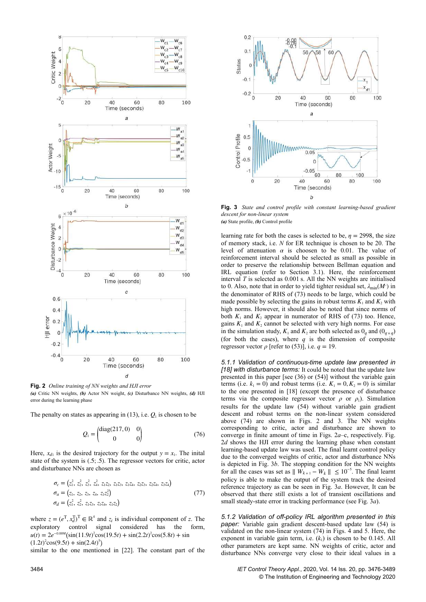

*(a)* Critic NN weights, *(b)* Actor NN weight, *(c)* Disturbance NN weights, *(d)* HJI error during the learning phase

The penalty on states as appearing in  $(13)$ , i.e.  $Q<sub>1</sub>$  is chosen to be

$$
Q_1 = \begin{pmatrix} \text{diag}(217,0) & 0\\ 0 & 0 \end{pmatrix} \tag{76}
$$

Here,  $x_{d1}$  is the desired trajectory for the output  $y = x_1$ . The inital state of the system is (.5; .5). The regressor vectors for critic, actor and disturbance NNs are chosen as

$$
\sigma_c = (z_1^2, z_2^2, z_3^2, z_4^2, z_1 z_2, z_1 z_3, z_1 z_4, z_2 z_3, z_2 z_4, z_3 z_4)
$$
  
\n
$$
\sigma_a = (z_1, z_2, z_3, z_4, z_1 z_2^2)
$$
  
\n
$$
\sigma_d = (z_1^2, z_2^2, z_1 z_3, z_1 z_4, z_1 z_2)
$$
\n(77)

where  $z = (e^T, x_d^T)^T \in \mathbb{R}^4$  and  $z_i$  is individual component of *z*. The exploratory control signal considered has the form,  $u(t) = 2e^{-0.009t}(\sin(11.9t)^2 \cos(19.5t) + \sin(2.2t)^2 \cos(5.8t) + \sin(2.2t)^2 \cos(5.8t)$  $(1.2t)^2 \cos(9.5t) + \sin(2.4t)^5$ 

similar to the one mentioned in [22]. The constant part of the



**Fig. 3** *State and control profile with constant learning-based gradient descent for non-linear system (a)* State profile, *(b)* Control profile

learning rate for both the cases is selected to be,  $\eta = 2998$ , the size of memory stack, i.e. *N* for ER technique is chosen to be 20. The level of attenuation  $\alpha$  is choosen to be 0.01. The value of reinforcement interval should be selected as small as possible in order to preserve the relationship between Bellman equation and IRL equation (refer to Section 3.1). Here, the reinforcement interval  $T$  is selected as  $0.001$  s. All the NN weights are initialised to 0. Also, note that in order to yield tighter residual set,  $\lambda_{\min}(M')$  in the denominator of RHS of (73) needs to be large, which could be made possible by selecting the gains in robust terms  $K_1$  and  $K_2$  with high norms. However, it should also be noted that since norms of both  $K_1$  and  $K_2$  appear in numerator of RHS of (73) too. Hence, gains  $K_1$  and  $K_2$  cannot be selected with very high norms. For ease in the simulation study,  $K_1$  and  $K_2$  are both selected as  $0_q$  and  $(0_{q \times q})$ (for both the cases), where  $q$  is the dimension of composite regressor vector  $\rho$  [refer to (53)], i.e.  $q = 19$ .

*5.1.1 Validation of continuous-time update law presented in [18] with disturbance terms:* It could be noted that the update law presented in this paper [see (36) or (54)] without the variable gain terms (i.e.  $k_1 = 0$ ) and robust terms (i.e.  $K_1 = 0, K_2 = 0$ ) is similar to the one presented in [18] (except the presence of disturbance terms via the composite regressor vector  $\rho$  or  $\rho_1$ ). Simulation results for the update law (54) without variable gain gradient descent and robust terms on the non-linear system considered above (74) are shown in Figs. 2 and 3. The NN weights corresponding to critic, actor and disturbance are shown to converge in finite amount of time in Figs. 2*a*–c, respectively. Fig. 2*d* shows the HJI error during the learning phase when constant learning-based update law was used. The final learnt control policy due to the converged weights of critic, actor and disturbance NNs is depicted in Fig. 3*b*. The stopping condition for the NN weights for all the cases was set as  $||W_{k+1} - W_k|| \leq 10^{-5}$ . The final learnt policy is able to make the output of the system track the desired reference trajectory as can be seen in Fig. 3*a*. However, It can be observed that there still exists a lot of transient oscillations and small steady-state error in tracking performance (see Fig. 3*a*).

*5.1.2 Validation of off-policy IRL algorithm presented in this paper:* Variable gain gradient descent-based update law (54) is validated on the non-linear system (74) in Figs. 4 and 5. Here, the exponent in variable gain term, i.e.  $(k_1)$  is chosen to be 0.145. All other parameters are kept same. NN weights of critic, actor and disturbance NNs converge very close to their ideal values in a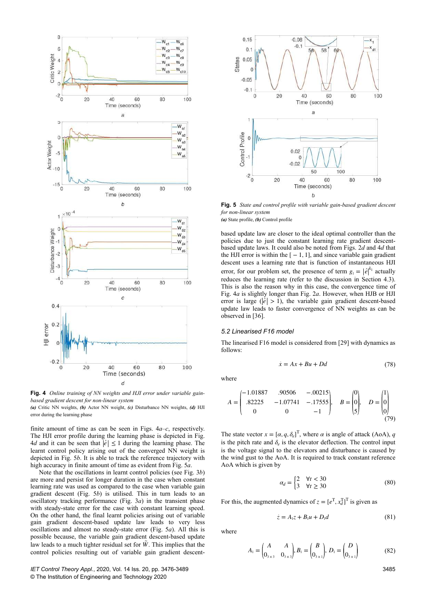

**Fig. 4** *Online training of NN weights and HJI error under variable gainbased gradient descent for non-linear system*

*(a)* Critic NN weights, *(b)* Actor NN weight, *(c)* Disturbance NN weights, *(d)* HJI error during the learning phase

finite amount of time as can be seen in Figs. 4*a*–*c*, respectively. The HJI error profile during the learning phase is depicted in Fig. 4*d* and it can be seen that  $|\hat{e}| \leq 1$  during the learning phase. The learnt control policy arising out of the converged NN weight is depicted in Fig. 5*b*. It is able to track the reference trajectory with high accuracy in finite amount of time as evident from Fig. 5*a*.

Note that the oscillations in learnt control policies (see Fig. 3*b*) are more and persist for longer duration in the case when constant learning rate was used as compared to the case when variable gain gradient descent (Fig. 5*b*) is utilised. This in turn leads to an oscillatory tracking performance (Fig. 3*a*) in the transient phase with steady-state error for the case with constant learning speed. On the other hand, the final learnt policies arising out of variable gain gradient descent-based update law leads to very less oscillations and almost no steady-state error (Fig. 5*a*). All this is possible because, the variable gain gradient descent-based update law leads to a much tighter residual set for *W*. This implies that the control policies resulting out of variable gain gradient descent-



**Fig. 5** *State and control profile with variable gain-based gradient descent for non-linear system*

*(a)* State profile, *(b)* Control profile

based update law are closer to the ideal optimal controller than the policies due to just the constant learning rate gradient descentbased update laws. It could also be noted from Figs. 2*d* and 4*d* that the HJI error is within the  $[-1, 1]$ , and since variable gain gradient descent uses a learning rate that is function of instantaneous HJI error, for our problem set, the presence of term  $g_1 = |\hat{e}|^{k_1}$  actually reduces the learning rate (refer to the discussion in Section 4.3). This is also the reason why in this case, the convergence time of Fig. 4*a* is slightly longer than Fig. 2*a*. However, when HJB or HJI error is large ( $|\hat{e}| > 1$ ), the variable gain gradient descent-based update law leads to faster convergence of NN weights as can be observed in [36].

#### *5.2 Linearised F16 model*

The linearised F16 model is considered from [29] with dynamics as follows:

where

$$
A = \begin{pmatrix} -1.01887 & .90506 & -.00215 \\ .82225 & -1.07741 & -.17555 \\ 0 & 0 & -1 \end{pmatrix}, \quad B = \begin{pmatrix} 0 \\ 0 \\ 5 \end{pmatrix}, \quad D = \begin{pmatrix} 1 \\ 0 \\ 0 \end{pmatrix}
$$
(79)

The state vector  $x = [\alpha, q, \delta_e]^T$ , where  $\alpha$  is angle of attack (AoA), *q* is the pitch rate and  $\delta_e$  is the elevator deflection. The control input is the voltage signal to the elevators and disturbance is caused by the wind gust to the AoA. It is required to track constant reference AoA which is given by

$$
\alpha_d = \begin{cases} 2 & \forall t < 30 \\ 3 & \forall t \ge 30 \end{cases} \tag{80}
$$

 $\dot{x} = Ax + Bu + Dd$  (78)

For this, the augmented dynamics of  $z = [e^T, x_d^T]^T$  is given as

$$
\dot{z} = A_1 z + B_1 u + D_1 d \tag{81}
$$

where

$$
A_1 = \begin{pmatrix} A & A \\ 0_{3 \times 3} & 0_{3 \times 3} \end{pmatrix}, B_1 = \begin{pmatrix} B \\ 0_{3 \times 1} \end{pmatrix}, D_1 = \begin{pmatrix} D \\ 0_{3 \times 1} \end{pmatrix}
$$
(82)

3485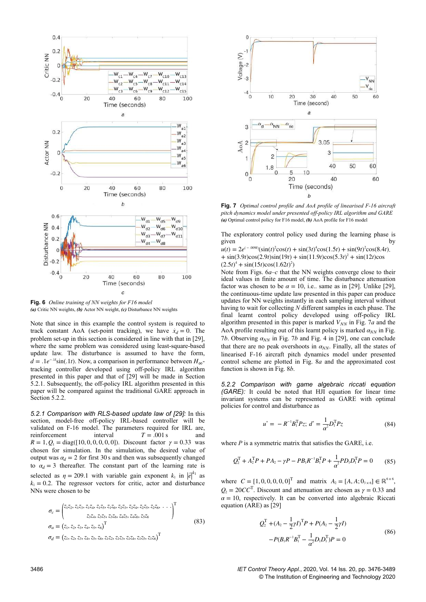

**Fig. 6** *Online training of NN weights for F16 model (a)* Critic NN weights, *(b)* Actor NN weight, *(c)* Disturbance NN weights

Note that since in this example the control system is required to track constant AoA (set-point tracking), we have  $\dot{x}_d = 0$ . The problem set-up in this section is considered in line with that in [29], where the same problem was considered using least-square-based update law. The disturbance is assumed to have the form,  $d = .1e^{-.1t}\sin(.1t)$ . Now, a comparison in performance between  $H_{\infty}$ tracking controller developed using off-policy IRL algorithm presented in this paper and that of [29] will be made in Section 5.2.1. Subsequently, the off-policy IRL algorithm presented in this paper will be compared against the traditional GARE approach in Section 5.2.2.

*5.2.1 Comparison with RLS-based update law of [29]:* In this section, model-free off-policy IRL-based controller will be validated on F-16 model. The parameters required for IRL are, reinforcement interval  $T = .001$  s and *R* = 1,  $Q_1$  = diag([10, 0, 0, 0, 0, 0]). Discount factor  $\gamma$  = 0.33 was chosen for simulation. In the simulation, the desired value of output was  $\alpha_d = 2$  for first 30 s and then was subsequently changed to  $\alpha_d = 3$  thereafter. The constant part of the learning rate is selected as  $\eta = 209.1$  with variable gain exponent  $k_1$  in  $\left| \hat{e} \right|^{k_1}$  as  $k_1 = 0.2$ . The regressor vectors for critic, actor and disturbance NNs were chosen to be

$$
\sigma_c = \begin{pmatrix} z_1 z_2, z_1 z_3, z_1 z_4, z_1 z_5, z_1 z_6, z_2 z_3, z_2 z_4, z_2 z_5, z_2 z_6, \dots \\ z_3 z_4, z_3 z_5, z_3 z_6, z_4 z_5, z_4 z_6, z_5 z_6 \end{pmatrix}^T
$$
\n
$$
\sigma_a = (z_1, z_2, z_3, z_4, z_5, z_6)^\mathrm{T}
$$
\n
$$
\sigma_d = (z_1, z_2, z_3, z_4, z_5, z_6, z_1 z_2, z_1 z_3, z_1 z_4, z_1 z_5, z_1 z_6)^\mathrm{T}
$$
\n(83)



**Fig. 7** *Optimal control profile and AoA profile of linearised F-16 aircraft pitch dynamics model under presented off-policy IRL algorithm and GARE (a)* Optimal control policy for F16 model, *(b)* AoA profile for F16 model

The exploratory control policy used during the learning phase is given given by by the set of  $\mathbf{b}$ 

 $u(t) = 2e^{(-.009t)}(\sin(t)^2 \cos(t) + \sin(3t)^4 \cos(1.5t) + \sin(9t)^2 \cos(8.4t)$ .  $+ \sin(3.9t)\cos(2.9t)\sin(19t) + \sin(11.9t)\cos(5.3t)^{2} + \sin(12t)\cos(5.9t)$  $(2.5t)^4 + \sin(15t)\cos(1.62t)^2$ 

Note from Figs. 6*a*–*c* that the NN weights converge close to their ideal values in finite amount of time. The disturbance attenuation factor was chosen to be  $\alpha = 10$ , i.e.. same as in [29]. Unlike [29], the continuous-time update law presented in this paper can produce updates for NN weights instantly in each sampling interval without having to wait for collecting *N* different samples in each phase. The final learnt control policy developed using off-policy IRL algorithm presented in this paper is marked  $V_{NN}$  in Fig. 7*a* and the AoA profile resulting out of this learnt policy is marked  $\alpha_{NN}$  in Fig. 7*b*. Observing  $\alpha_{NN}$  in Fig. 7*b* and Fig. 4 in [29], one can conclude that there are no peak overshoots in  $\alpha_{NN}$ . Finally, all the states of linearised F-16 aircraft pitch dynamics model under presented control scheme are plotted in Fig. 8*a* and the approximated cost function is shown in Fig. 8*b*.

*5.2.2 Comparison with game algebraic riccati equation (GARE):* It could be noted that HJI equation for linear time invariant systems can be represented as GARE with optimal policies for control and disturbance as

$$
u^* = -R^{-1}B_1^{\mathrm{T}}Pz; d^* = \frac{1}{\alpha^2}D_1^{\mathrm{T}}Pz
$$
 (84)

where *P* is a symmetric matrix that satisfies the GARE, i.e.

$$
Q_2^{\mathrm{T}} + A_2^{\mathrm{T}} P + P A_2 - \gamma P - P B_1 R^{-1} B_1^{\mathrm{T}} P + \frac{1}{\alpha^2} P D_1 D_1^{\mathrm{T}} P = 0 \tag{85}
$$

where  $C = [1, 0, 0, 0, 0, 0]^T$  and matrix  $A_2 = [A, A; 0_{3 \times 6}] \in \mathbb{R}^{6 \times 6}$ ,  $Q_2 = 20CC^T$ . Discount and attenuation are chosen as  $\gamma = 0.33$  and  $\alpha = 10$ , respectively. It can be converted into algebraic Riccati equation (ARE) as [29]

$$
Q_2^{\mathrm{T}} + (A_2 - \frac{1}{2}\gamma I)^{\mathrm{T}}P + P(A_2 - \frac{1}{2}\gamma I) - P(B_1R^{-1}B_1^{\mathrm{T}} - \frac{1}{\alpha^2}D_1D_1^{\mathrm{T}})P = 0
$$
\n(86)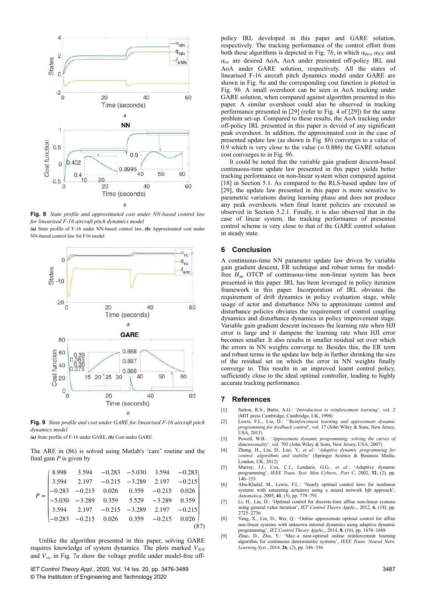

**Fig. 8** *State profile and approximated cost under NN-based control law for linearised F-16 aircraft pitch dynamics model*

*(a)* State profile of F-16 under NN-based control law, *(b)* Approximated cost under NN-based control law for F16 model



**Fig. 9** *State profile and cost under GARE for linearised F-16 aircraft pitch dynamics model*

*(a)* State profile of F-16 under GARE, *(b)* Cost under GARE

The ARE in (86) is solved using Matlab's 'care' routine and the final gain *P* is given by

| $P = \begin{pmatrix} 8.998 & 3.594 & -0.283 & -5.030 & 3.594 & -0.283 \\ 3.594 & 2.197 & -0.215 & -3.289 & 2.197 & -0.215 \\ -0.283 & -0.215 & 0.026 & 0.359 & -0.215 & 0.026 \\ -5.030 & -3.289 & 0.359 & 5.529 & -3.289 & 0.359 \\ 3.594 & 2.197 & -0.215 & -3.289 & 2.197 & -0.215 \\ -0$ |  |  |  |  |
|----------------------------------------------------------------------------------------------------------------------------------------------------------------------------------------------------------------------------------------------------------------------------------------------|--|--|--|--|
|                                                                                                                                                                                                                                                                                              |  |  |  |  |
|                                                                                                                                                                                                                                                                                              |  |  |  |  |
|                                                                                                                                                                                                                                                                                              |  |  |  |  |
|                                                                                                                                                                                                                                                                                              |  |  |  |  |
|                                                                                                                                                                                                                                                                                              |  |  |  |  |

Unlike the algorithm presented in this paper, solving GARE requires knowledge of system dynamics. The plots marked  $V_{NN}$ and  $V<sub>ric</sub>$  in Fig. 7*a* show the voltage profile under model-free off-

*IET Control Theory Appl.*, 2020, Vol. 14 Iss. 20, pp. 3476-3489 © The Institution of Engineering and Technology 2020

policy IRL developed in this paper and GARE solution, respectively. The tracking performance of the control effort from both these algorithms is depicted in Fig. 7*b*, in which  $\alpha_{des}$ ,  $\alpha_{NN}$  and *αric* are desired AoA, AoA under presented off-policy IRL and AoA under GARE solution, respectively. All the states of linearised F-16 aircraft pitch dynamics model under GARE are shown in Fig. 9*a* and the corresponding cost function is plotted in Fig. 9*b*. A small overshoot can be seen in AoA tracking under GARE solution, when compared against algorithm presented in this paper. A similar overshoot could also be observed in tracking performance presented in [29] (refer to Fig. 4 of [29]) for the same problem set-up. Compared to these results, the AoA tracking under off-policy IRL presented in this paper is devoid of any significant peak overshoot. In addition, the approximated cost in the case of presented update law (as shown in Fig. 8*b*) converges to a value of 0.9 which is very close to the value  $(= 0.886)$  the GARE solution cost converges to in Fig. 9*b*.

It could be noted that the variable gain gradient descent-based continuous-time update law presented in this paper yields better tracking performance on non-linear system when compared against [18] in Section 5.1. As compared to the RLS-based update law of [29], the update law presented in this paper is more sensitive to parametric variations during learning phase and does not produce any peak overshoots when final learnt policies are executed as observed in Section 5.2.1. Finally, it is also observed that in the case of linear system, the tracking performance of presented control scheme is very close to that of the GARE control solution in steady state.

## **6** Conclusion

A continuous-time NN parameter update law driven by variable gain gradient descent, ER technique and robust terms for modelfree  $H_{\infty}$  OTCP of continuous-time non-linear system has been presented in this paper. IRL has been leveraged in policy iteration framework in this paper. Incorporation of IRL obviates the requirement of drift dynamics in policy evaluation stage, while usage of actor and disturbance NNs to approximate control and disturbance policies obviates the requirement of control coupling dynamics and disturbance dynamics in policy improvement stage. Variable gain gradient descent increases the learning rate when HJI error is large and it dampens the learning rate when HJI error becomes smaller. It also results in smaller residual set over which the errors in NN weights converge to. Besides this, the ER term and robust terms in the update law help in further shrinking the size of the residual set on which the error in NN weights finally converge to. This results in an improved learnt control policy, sufficiently close to the ideal optimal controller, leading to highly accurate tracking performance.

## **7References**

- [1] Sutton, R.S., Barto, A.G.: '*Introduction to reinforcement learning*', vol. 2
- (MIT press Cambridge, Cambridge, UK, 1998) [2] Lewis, F.L., Liu, D.: '*'Reinforcement learning and approximate dynamic programming for feedback control*', vol. 17 (John Wiley & Sons, New Jersey, USA, 2013)
- [3] Powell, W.B.: '*'Approximate dynamic programming: solving the curses of dimensionality*', vol. 703 (John Wiley & Sons, New Jersey, USA, 2007)
- [4] Zhang, H., Liu, D., Luo, Y.*, et al.*: '*Adaptive dynamic programming for control: algorithms and stability*' (Springer Science & Business Media, London, UK, 2012)<br>Murray, J.J., Cox,
- [5] Murray, J.J., Cox, C.J., Lendaris, G.G.*, et al.*: 'Adaptive dynamic programming', *IEEE Trans. Syst. Man Cybern., Part C*, 2002, **32**, (2), pp. 140–153
- [6] Abu-Khalaf, M., Lewis, F.L.: 'Nearly optimal control laws for nonlinear systems with saturating actuators using a neural network hjb approach', *Automatica*, 2005, **41**, (5), pp. 779–791
- [7] Li, H., Liu, D.: 'Optimal control for discrete-time affine non-linear systems using general value iteration', *IET Control Theory Applic.*, 2012, **6**, (18), pp. 2725–2736
- [8] Yang, X., Liu, D., Wei, Q.: 'Online approximate optimal control for affine non-linear systems with unknown internal dynamics using adaptive dynamic programming', *IET Control Theory Applic.*, 2014, **8**, (16), pp. 1676–1688
- [9] Zhao, D., Zhu, Y.: 'Mec–a near-optimal online reinforcement learning algorithm for continuous deterministic systems', *IEEE Trans. Neural Netw. Learning Syst.*, 2014, **26**, (2), pp. 346–356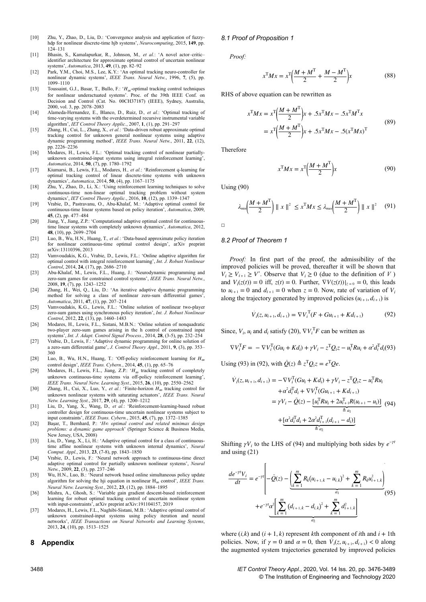- [10] Zhu, Y., Zhao, D., Liu, D.: 'Convergence analysis and application of fuzzyhdp for nonlinear discrete-time hjb systems', *Neurocomputing*, 2015, **149**, pp. 124–131
- [11] Bhasin, S., Kamalapurkar, R., Johnson, M.*, et al.*: 'A novel actor–critic– identifier architecture for approximate optimal control of uncertain nonlinear systems', *Automatica*, 2013, **49**, (1), pp. 82–92
- [12] Park, Y.M., Choi, M.S., Lee, K.Y.: 'An optimal tracking neuro-controller for nonlinear dynamic systems', *IEEE Trans. Neural Netw.*, 1996, **7**, (5), pp. 1099–1110
- [13] Toussaint, G.J., Basar, T., Bullo, F.: '*H*∞-optimal tracking control techniques for nonlinear underactuated systems'. Proc. of the 39th IEEE Conf. on Decision and Control (Cat. No. 00CH37187) (IEEE), Sydney, Australia, 2000, vol. 3, pp. 2078–2083
- [14] Alameda-Hernandez, E., Blanco, D., Ruiz, D.*, et al.*: 'Optimal tracking of time-varying systems with the overdetermined recursive instrumental variable algorithm', *IET Control Theory Applic.*, 2007, **1**, (1), pp. 291–297
- [15] Zhang, H., Cui, L., Zhang, X.*, et al.*: 'Data-driven robust approximate optimal tracking control for unknown general nonlinear systems using adaptive dynamic programming method', *IEEE Trans. Neural Netw.*, 2011, **22**, (12), pp. 2226–2236
- [16] Modares, H., Lewis, F.L.: 'Optimal tracking control of nonlinear partiallyunknown constrained-input systems using integral reinforcement learning', *Automatica*, 2014, **50**, (7), pp. 1780–1792
- [17] Kiumarsi, B., Lewis, F.L., Modares, H.*, et al.*: 'Reinforcement q-learning for optimal tracking control of linear discrete-time systems with unknown dynamics', *Automatica*, 2014, **50**, (4), pp. 1167–1175
- [18] Zhu, Y., Zhao, D., Li, X.: 'Using reinforcement learning techniques to solve continuous-time non-linear optimal tracking problem without system dynamics', *IET Control Theory Applic.*, 2016, **10**, (12), pp. 1339–1347
- [19] Vrabie, D., Pastravanu, O., Abu-Khalaf, M.: 'Adaptive optimal control for continuous-time linear systems based on policy iteration', *Automatica*, 2009, **45**, (2), pp. 477–484
- [20] Jiang, Y., Jiang, Z.P.: 'Computational adaptive optimal control for continuoustime linear systems with completely unknown dynamics', *Automatica*, 2012, **48**, (10), pp. 2699–2704
- [21] Luo, B., Wu, H.N., Huang, T.*, et al.*: 'Data-based approximate policy iteration for nonlinear continuous-time optimal control design', arXiv preprint arXiv:13110396, 2013
- [22] Vamvoudakis, K.G., Vrabie, D., Lewis, F.L.: 'Online adaptive algorithm for optimal control with integral reinforcement learning', *Int. J. Robust Nonlinear Control*, 2014, **24**, (17), pp. 2686–2710
- [23] Abu-Khalaf, M., Lewis, F.L., Huang, J.: 'Neurodynamic programming and zero-sum games for constrained control systems', *IEEE Trans. Neural Netw.*, 2008, **19**, (7), pp. 1243–1252
- [24] Zhang, H., Wei, Q., Liu, D.: 'An iterative adaptive dynamic programming method for solving a class of nonlinear zero-sum differential games' *Automatica*, 2011, **47**, (1), pp. 207–214
- [25] Vamvoudakis, K.G., Lewis, F.L.: 'Online solution of nonlinear two-player zero-sum games using synchronous policy iteration', *Int. J. Robust Nonlinear Control*, 2012, **22**, (13), pp. 1460–1483
- [26] Modares, H., Lewis, F.L., Sistani, M.B.N.: 'Online solution of nonquadratic two-player zero-sum games arising in the h control of constrained input systems', *Int. J. Adapt. Control Signal Process.*, 2014, **28**, (3-5), pp. 232–254
- [27] Vrabie, D., Lewis, F.: 'Adaptive dynamic programming for online solution of a zero-sum differential game', *J. Control Theory Appl.*, 2011, **9**, (3), pp. 353– 360
- [28] Luo, B., Wu, H.N., Huang, T.: 'Off-policy reinforcement learning for *H*<sup>∞</sup> control design', *IEEE Trans. Cybern.*, 2014, **45**, (1), pp. 65–76
- [29] Modares, H., Lewis, F.L., Jiang, Z.P.: '*H*∞ tracking control of completely unknown continuous-time systems via off-policy reinforcement learning', *IEEE Trans. Neural Netw. Learning Syst.*, 2015, **26**, (10), pp. 2550–2562
- [30] Zhang, H., Cui, X., Luo, Y.*, et al.*: 'Finite-horizon *H*∞ tracking control for unknown nonlinear systems with saturating actuators', *IEEE Trans. Neural Netw. Learning Syst.*, 2017, **29**, (4), pp. 1200–1212
- [31] Liu, D., Yang, X., Wang, D.*, et al.*: 'Reinforcement-learning-based robust controller design for continuous-time uncertain nonlinear systems subject to input constraints', *IEEE Trans. Cybern.*, 2015, **45**, (7), pp. 1372–1385
- [32] Başar, T., Bernhard, P.: '*H∞ optimal control and related minimax design problems: a dynamic game approach*' (Springer Science & Business Media, New Jersey, USA, 2008)
- [33] Liu, D., Yang, X., Li, H.: 'Adaptive optimal control for a class of continuoustime affine nonlinear systems with unknown internal dynamics', *Neural Comput. Appl.*, 2013, **23**, (7-8), pp. 1843–1850
- [34] Vrabie, D., Lewis, F.: 'Neural network approach to continuous-time direct adaptive optimal control for partially unknown nonlinear systems', *Neural Netw.*, 2009, **22**, (3), pp. 237–246
- [35] Wu, H.N., Luo, B.: 'Neural network based online simultaneous policy update algorithm for solving the hji equation in nonlinear H∞ control', *IEEE Trans. Neural Netw. Learning Syst.*, 2012, **23**, (12), pp. 1884–1895
- [36] Mishra, A., Ghosh, S.: 'Variable gain gradient descent-based reinforcement learning for robust optimal tracking control of uncertain nonlinear system with input-constraints', arXiv preprint arXiv:191104157, 2019
- [37] Modares, H., Lewis, F.L., Naghibi-Sistani, M.B.: 'Adaptive optimal control of unknown constrained-input systems using policy iteration and neural networks', *IEEE Transactions on Neural Networks and Learning Systems*, 2013, **24**, (10), pp. 1513–1525

## **8Appendix**

#### *8.1 Proof of Proposition 1*

*Proof:*

$$
x^{T}Mx = x^{T}\left(\frac{M+M^{T}}{2} + \frac{M-M^{T}}{2}\right)x
$$
 (88)

RHS of above equation can be rewritten as

$$
x^{T}Mx = x^{T}\left(\frac{M+M^{T}}{2}\right)x + .5x^{T}Mx - .5x^{T}M^{T}x
$$
  
=  $x^{T}\left(\frac{M+M^{T}}{2}\right)x + .5x^{T}Mx - .5(x^{T}Mx)^{T}$  (89)

Therefore

$$
x^{\mathrm{T}} M x = x^{\mathrm{T}} \left( \frac{M + M^{\mathrm{T}}}{2} \right) x \tag{90}
$$

Using (90)

$$
\lambda_{\min}\left(\frac{M+M^{T}}{2}\right) \parallel x \parallel^{2} \leq x^{T}Mx \leq \lambda_{\max}\left(\frac{M+M^{T}}{2}\right) \parallel x \parallel^{2} \quad (91)
$$

 $\Box$ 

## *8.2 Proof of Theorem 1*

*Proof:* In first part of the proof, the admissibility of the improved policies will be proved, thereafter it will be shown that  $V_i \geq V_{i+1} \geq V^*$ . Observe that  $V_i \geq 0$  (due to the definition of *V*) and  $V_i(z(t)) = 0$  iff,  $z(t) = 0$ . Further,  $\nabla V(z(t))|_{z=0} = 0$ , this leads to  $u_{i+1} = 0$  and  $d_{i+1} = 0$  when  $z = 0$ . Now, rate of variation of  $V_i$ along the trajectory generated by improved policies  $(u_{i+1}, d_{i+1})$  is

$$
\dot{V}_i(z, u_{i+1}, d_{i+1}) = \nabla V_i^{\mathrm{T}}(F + Gu_{i+1} + Kd_{i+1})
$$
(92)

Since,  $V_i$ ,  $u_i$  and  $d_i$  satisfy (20),  $\nabla V_i^{\mathrm{T}} F$  can be written as

$$
\nabla V_i^{\mathrm{T}} F = - \nabla V_i^{\mathrm{T}} (Gu_i + Kd_i) + \gamma V_i - z^{\mathrm{T}} Q_i z - u_i^{\mathrm{T}} Ru_i + \alpha^2 d_i^{\mathrm{T}} d_i(93)
$$

Using (93) in (92), with  $\overline{Q}(z) \triangleq z^T Q_1 z = e^T Q e$ .

$$
\dot{V}_i(z, u_{i+1}, d_{i+1}) = -\nabla V_i^{\mathrm{T}}(Gu_i + Kd_i) + \gamma V_i - z^{\mathrm{T}} Q_i z - u_i^{\mathrm{T}} R u_i
$$
\n
$$
+ \alpha^2 d_i^{\mathrm{T}} d_i + \nabla V_i^{\mathrm{T}}(Gu_{i+1} + Kd_{i+1})
$$
\n
$$
= \gamma V_i - \bar{Q}(z) - \underbrace{[u_i^{\mathrm{T}} R u_i + 2u_{i+1}^{\mathrm{T}} R(u_{i+1} - u_i)]}_{\triangleq a_i} \quad (94)
$$
\n
$$
+ \underbrace{[\alpha^2 d_i^{\mathrm{T}} d_i + 2\alpha^2 d_{i+1}^{\mathrm{T}}(d_{i+1} - d_i)]}_{\triangleq a_2}
$$

Shifting  $\gamma V_i$  to the LHS of (94) and multiplying both sides by  $e^{-\gamma t}$ and using (21)

$$
\frac{de^{-\gamma t}V_i}{dt} = e^{-\gamma t} \left[ -\bar{Q}(z) - \left( \sum_{k=1}^m R_k (u_{i+1,k} - u_{i,k})^2 + \sum_{k=1}^m R_k u_{i+1,k}^2 \right) + e^{-\gamma t} \underbrace{\alpha \left[ \sum_{k=1}^m (d_{i+1,k} - d_{i,k})^2 + \sum_{k=1}^m d_{i+1,k}^2 \right]}_{a_2} \right]
$$
\n
$$
(95)
$$

where  $(i,k)$  and  $(i + 1, k)$  represent *k*th component of *i*th and  $i + 1$ th policies. Now, if  $\gamma = 0$  and  $\alpha = 0$ , then  $V_i(z, u_{i+1}, d_{i+1}) < 0$  along the augmented system trajectories generated by improved policies